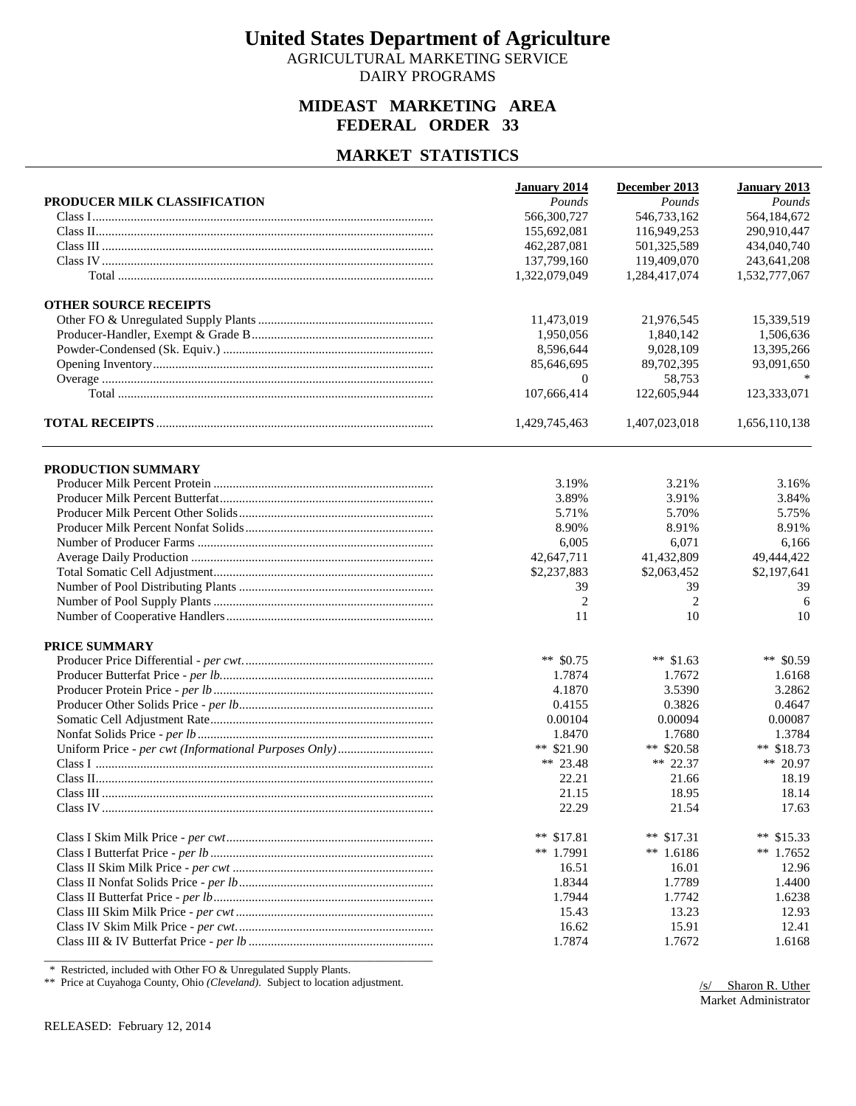AGRICULTURAL MARKETING SERVICE DAIRY PROGRAMS

## **MIDEAST MARKETING AREA FEDERAL ORDER 33**

### **MARKET STATISTICS**

| 566,300,727<br>546,733,162<br>564,184,672<br>155,692,081<br>116,949,253<br>290,910,447<br>434,040,740<br>462,287,081<br>501,325,589<br>137,799,160<br>119,409,070<br>243,641,208<br>1,322,079,049<br>1,284,417,074<br>1,532,777,067<br><b>OTHER SOURCE RECEIPTS</b><br>15,339,519<br>11,473,019<br>21,976,545<br>1,950,056<br>1,840,142<br>1,506,636<br>8,596,644<br>9,028,109<br>13,395,266<br>85,646,695<br>89,702,395<br>93,091,650<br>$\overline{0}$<br>58,753<br>107,666,414<br>122,605,944<br>123,333,071<br>1,429,745,463<br>1,407,023,018<br>1,656,110,138<br>PRODUCTION SUMMARY<br>3.19%<br>3.21%<br>3.16%<br>3.89%<br>3.91%<br>3.84%<br>5.71%<br>5.70%<br>5.75%<br>8.90%<br>8.91%<br>8.91%<br>6,005<br>6,071<br>6,166<br>42,647,711<br>41,432,809<br>49,444,422<br>\$2,237,883<br>\$2,063,452<br>\$2,197,641<br>39<br>39<br>39<br>$\overline{2}$<br>2<br>6<br>11<br>10<br>10<br>PRICE SUMMARY<br>** \$0.59<br>** $$0.75$<br>** $$1.63$<br>1.7874<br>1.7672<br>1.6168<br>4.1870<br>3.5390<br>3.2862<br>0.4155<br>0.3826<br>0.4647<br>0.00087<br>0.00104<br>0.00094<br>1.3784<br>1.8470<br>1.7680<br>** \$21.90<br>** $$20.58$<br>** $$18.73$<br>** 23.48<br>** 22.37<br>** 20.97<br>22.21<br>18.19<br>21.66<br>21.15<br>18.95<br>18.14<br>22.29<br>21.54<br>17.63<br>** $$17.81$<br>** $$17.31$<br>**<br>\$15.33<br>** 1.7991<br>$**$ 1.6186<br>** $1.7652$<br>12.96<br>16.51<br>16.01<br>1.8344<br>1.7789<br>1.4400<br>1.7944<br>1.7742<br>1.6238<br>13.23<br>12.93<br>15.43<br>16.62<br>15.91<br>12.41<br>1.7874<br>1.7672<br>1.6168 |                              | January 2014 | December 2013 | January 2013 |
|-------------------------------------------------------------------------------------------------------------------------------------------------------------------------------------------------------------------------------------------------------------------------------------------------------------------------------------------------------------------------------------------------------------------------------------------------------------------------------------------------------------------------------------------------------------------------------------------------------------------------------------------------------------------------------------------------------------------------------------------------------------------------------------------------------------------------------------------------------------------------------------------------------------------------------------------------------------------------------------------------------------------------------------------------------------------------------------------------------------------------------------------------------------------------------------------------------------------------------------------------------------------------------------------------------------------------------------------------------------------------------------------------------------------------------------------------------------------------------------------------------------------------------------------------|------------------------------|--------------|---------------|--------------|
|                                                                                                                                                                                                                                                                                                                                                                                                                                                                                                                                                                                                                                                                                                                                                                                                                                                                                                                                                                                                                                                                                                                                                                                                                                                                                                                                                                                                                                                                                                                                                 | PRODUCER MILK CLASSIFICATION | Pounds       | Pounds        | Pounds       |
|                                                                                                                                                                                                                                                                                                                                                                                                                                                                                                                                                                                                                                                                                                                                                                                                                                                                                                                                                                                                                                                                                                                                                                                                                                                                                                                                                                                                                                                                                                                                                 |                              |              |               |              |
|                                                                                                                                                                                                                                                                                                                                                                                                                                                                                                                                                                                                                                                                                                                                                                                                                                                                                                                                                                                                                                                                                                                                                                                                                                                                                                                                                                                                                                                                                                                                                 |                              |              |               |              |
|                                                                                                                                                                                                                                                                                                                                                                                                                                                                                                                                                                                                                                                                                                                                                                                                                                                                                                                                                                                                                                                                                                                                                                                                                                                                                                                                                                                                                                                                                                                                                 |                              |              |               |              |
|                                                                                                                                                                                                                                                                                                                                                                                                                                                                                                                                                                                                                                                                                                                                                                                                                                                                                                                                                                                                                                                                                                                                                                                                                                                                                                                                                                                                                                                                                                                                                 |                              |              |               |              |
|                                                                                                                                                                                                                                                                                                                                                                                                                                                                                                                                                                                                                                                                                                                                                                                                                                                                                                                                                                                                                                                                                                                                                                                                                                                                                                                                                                                                                                                                                                                                                 |                              |              |               |              |
|                                                                                                                                                                                                                                                                                                                                                                                                                                                                                                                                                                                                                                                                                                                                                                                                                                                                                                                                                                                                                                                                                                                                                                                                                                                                                                                                                                                                                                                                                                                                                 |                              |              |               |              |
|                                                                                                                                                                                                                                                                                                                                                                                                                                                                                                                                                                                                                                                                                                                                                                                                                                                                                                                                                                                                                                                                                                                                                                                                                                                                                                                                                                                                                                                                                                                                                 |                              |              |               |              |
|                                                                                                                                                                                                                                                                                                                                                                                                                                                                                                                                                                                                                                                                                                                                                                                                                                                                                                                                                                                                                                                                                                                                                                                                                                                                                                                                                                                                                                                                                                                                                 |                              |              |               |              |
|                                                                                                                                                                                                                                                                                                                                                                                                                                                                                                                                                                                                                                                                                                                                                                                                                                                                                                                                                                                                                                                                                                                                                                                                                                                                                                                                                                                                                                                                                                                                                 |                              |              |               |              |
|                                                                                                                                                                                                                                                                                                                                                                                                                                                                                                                                                                                                                                                                                                                                                                                                                                                                                                                                                                                                                                                                                                                                                                                                                                                                                                                                                                                                                                                                                                                                                 |                              |              |               |              |
|                                                                                                                                                                                                                                                                                                                                                                                                                                                                                                                                                                                                                                                                                                                                                                                                                                                                                                                                                                                                                                                                                                                                                                                                                                                                                                                                                                                                                                                                                                                                                 |                              |              |               |              |
|                                                                                                                                                                                                                                                                                                                                                                                                                                                                                                                                                                                                                                                                                                                                                                                                                                                                                                                                                                                                                                                                                                                                                                                                                                                                                                                                                                                                                                                                                                                                                 |                              |              |               |              |
|                                                                                                                                                                                                                                                                                                                                                                                                                                                                                                                                                                                                                                                                                                                                                                                                                                                                                                                                                                                                                                                                                                                                                                                                                                                                                                                                                                                                                                                                                                                                                 |                              |              |               |              |
|                                                                                                                                                                                                                                                                                                                                                                                                                                                                                                                                                                                                                                                                                                                                                                                                                                                                                                                                                                                                                                                                                                                                                                                                                                                                                                                                                                                                                                                                                                                                                 |                              |              |               |              |
|                                                                                                                                                                                                                                                                                                                                                                                                                                                                                                                                                                                                                                                                                                                                                                                                                                                                                                                                                                                                                                                                                                                                                                                                                                                                                                                                                                                                                                                                                                                                                 |                              |              |               |              |
|                                                                                                                                                                                                                                                                                                                                                                                                                                                                                                                                                                                                                                                                                                                                                                                                                                                                                                                                                                                                                                                                                                                                                                                                                                                                                                                                                                                                                                                                                                                                                 |                              |              |               |              |
|                                                                                                                                                                                                                                                                                                                                                                                                                                                                                                                                                                                                                                                                                                                                                                                                                                                                                                                                                                                                                                                                                                                                                                                                                                                                                                                                                                                                                                                                                                                                                 |                              |              |               |              |
|                                                                                                                                                                                                                                                                                                                                                                                                                                                                                                                                                                                                                                                                                                                                                                                                                                                                                                                                                                                                                                                                                                                                                                                                                                                                                                                                                                                                                                                                                                                                                 |                              |              |               |              |
|                                                                                                                                                                                                                                                                                                                                                                                                                                                                                                                                                                                                                                                                                                                                                                                                                                                                                                                                                                                                                                                                                                                                                                                                                                                                                                                                                                                                                                                                                                                                                 |                              |              |               |              |
|                                                                                                                                                                                                                                                                                                                                                                                                                                                                                                                                                                                                                                                                                                                                                                                                                                                                                                                                                                                                                                                                                                                                                                                                                                                                                                                                                                                                                                                                                                                                                 |                              |              |               |              |
|                                                                                                                                                                                                                                                                                                                                                                                                                                                                                                                                                                                                                                                                                                                                                                                                                                                                                                                                                                                                                                                                                                                                                                                                                                                                                                                                                                                                                                                                                                                                                 |                              |              |               |              |
|                                                                                                                                                                                                                                                                                                                                                                                                                                                                                                                                                                                                                                                                                                                                                                                                                                                                                                                                                                                                                                                                                                                                                                                                                                                                                                                                                                                                                                                                                                                                                 |                              |              |               |              |
|                                                                                                                                                                                                                                                                                                                                                                                                                                                                                                                                                                                                                                                                                                                                                                                                                                                                                                                                                                                                                                                                                                                                                                                                                                                                                                                                                                                                                                                                                                                                                 |                              |              |               |              |
|                                                                                                                                                                                                                                                                                                                                                                                                                                                                                                                                                                                                                                                                                                                                                                                                                                                                                                                                                                                                                                                                                                                                                                                                                                                                                                                                                                                                                                                                                                                                                 |                              |              |               |              |
|                                                                                                                                                                                                                                                                                                                                                                                                                                                                                                                                                                                                                                                                                                                                                                                                                                                                                                                                                                                                                                                                                                                                                                                                                                                                                                                                                                                                                                                                                                                                                 |                              |              |               |              |
|                                                                                                                                                                                                                                                                                                                                                                                                                                                                                                                                                                                                                                                                                                                                                                                                                                                                                                                                                                                                                                                                                                                                                                                                                                                                                                                                                                                                                                                                                                                                                 |                              |              |               |              |
|                                                                                                                                                                                                                                                                                                                                                                                                                                                                                                                                                                                                                                                                                                                                                                                                                                                                                                                                                                                                                                                                                                                                                                                                                                                                                                                                                                                                                                                                                                                                                 |                              |              |               |              |
|                                                                                                                                                                                                                                                                                                                                                                                                                                                                                                                                                                                                                                                                                                                                                                                                                                                                                                                                                                                                                                                                                                                                                                                                                                                                                                                                                                                                                                                                                                                                                 |                              |              |               |              |
|                                                                                                                                                                                                                                                                                                                                                                                                                                                                                                                                                                                                                                                                                                                                                                                                                                                                                                                                                                                                                                                                                                                                                                                                                                                                                                                                                                                                                                                                                                                                                 |                              |              |               |              |
|                                                                                                                                                                                                                                                                                                                                                                                                                                                                                                                                                                                                                                                                                                                                                                                                                                                                                                                                                                                                                                                                                                                                                                                                                                                                                                                                                                                                                                                                                                                                                 |                              |              |               |              |
|                                                                                                                                                                                                                                                                                                                                                                                                                                                                                                                                                                                                                                                                                                                                                                                                                                                                                                                                                                                                                                                                                                                                                                                                                                                                                                                                                                                                                                                                                                                                                 |                              |              |               |              |
|                                                                                                                                                                                                                                                                                                                                                                                                                                                                                                                                                                                                                                                                                                                                                                                                                                                                                                                                                                                                                                                                                                                                                                                                                                                                                                                                                                                                                                                                                                                                                 |                              |              |               |              |
|                                                                                                                                                                                                                                                                                                                                                                                                                                                                                                                                                                                                                                                                                                                                                                                                                                                                                                                                                                                                                                                                                                                                                                                                                                                                                                                                                                                                                                                                                                                                                 |                              |              |               |              |
|                                                                                                                                                                                                                                                                                                                                                                                                                                                                                                                                                                                                                                                                                                                                                                                                                                                                                                                                                                                                                                                                                                                                                                                                                                                                                                                                                                                                                                                                                                                                                 |                              |              |               |              |
|                                                                                                                                                                                                                                                                                                                                                                                                                                                                                                                                                                                                                                                                                                                                                                                                                                                                                                                                                                                                                                                                                                                                                                                                                                                                                                                                                                                                                                                                                                                                                 |                              |              |               |              |
|                                                                                                                                                                                                                                                                                                                                                                                                                                                                                                                                                                                                                                                                                                                                                                                                                                                                                                                                                                                                                                                                                                                                                                                                                                                                                                                                                                                                                                                                                                                                                 |                              |              |               |              |
|                                                                                                                                                                                                                                                                                                                                                                                                                                                                                                                                                                                                                                                                                                                                                                                                                                                                                                                                                                                                                                                                                                                                                                                                                                                                                                                                                                                                                                                                                                                                                 |                              |              |               |              |
|                                                                                                                                                                                                                                                                                                                                                                                                                                                                                                                                                                                                                                                                                                                                                                                                                                                                                                                                                                                                                                                                                                                                                                                                                                                                                                                                                                                                                                                                                                                                                 |                              |              |               |              |
|                                                                                                                                                                                                                                                                                                                                                                                                                                                                                                                                                                                                                                                                                                                                                                                                                                                                                                                                                                                                                                                                                                                                                                                                                                                                                                                                                                                                                                                                                                                                                 |                              |              |               |              |
|                                                                                                                                                                                                                                                                                                                                                                                                                                                                                                                                                                                                                                                                                                                                                                                                                                                                                                                                                                                                                                                                                                                                                                                                                                                                                                                                                                                                                                                                                                                                                 |                              |              |               |              |
|                                                                                                                                                                                                                                                                                                                                                                                                                                                                                                                                                                                                                                                                                                                                                                                                                                                                                                                                                                                                                                                                                                                                                                                                                                                                                                                                                                                                                                                                                                                                                 |                              |              |               |              |
|                                                                                                                                                                                                                                                                                                                                                                                                                                                                                                                                                                                                                                                                                                                                                                                                                                                                                                                                                                                                                                                                                                                                                                                                                                                                                                                                                                                                                                                                                                                                                 |                              |              |               |              |
|                                                                                                                                                                                                                                                                                                                                                                                                                                                                                                                                                                                                                                                                                                                                                                                                                                                                                                                                                                                                                                                                                                                                                                                                                                                                                                                                                                                                                                                                                                                                                 |                              |              |               |              |
|                                                                                                                                                                                                                                                                                                                                                                                                                                                                                                                                                                                                                                                                                                                                                                                                                                                                                                                                                                                                                                                                                                                                                                                                                                                                                                                                                                                                                                                                                                                                                 |                              |              |               |              |
|                                                                                                                                                                                                                                                                                                                                                                                                                                                                                                                                                                                                                                                                                                                                                                                                                                                                                                                                                                                                                                                                                                                                                                                                                                                                                                                                                                                                                                                                                                                                                 |                              |              |               |              |

\* Restricted, included with Other FO & Unregulated Supply Plants.

\*\* Price at Cuyahoga County, Ohio *(Cleveland)*. Subject to location adjustment.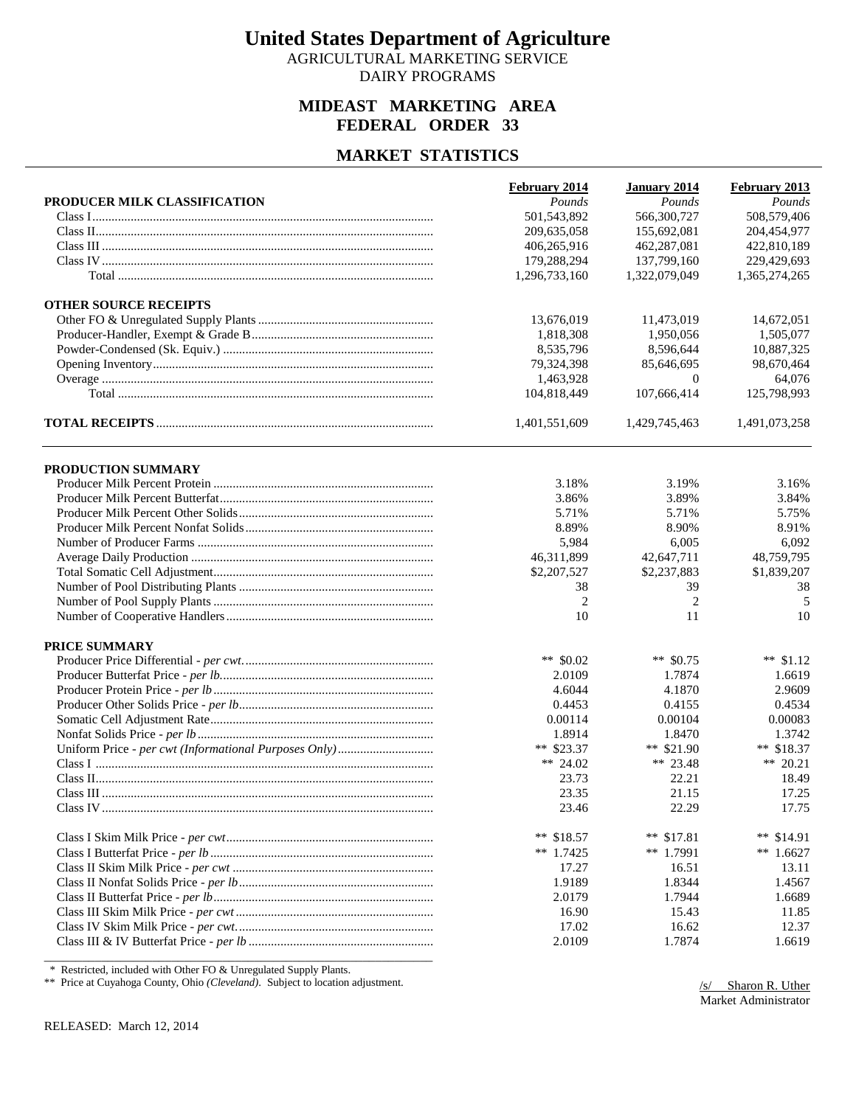AGRICULTURAL MARKETING SERVICE DAIRY PROGRAMS

## **MIDEAST MARKETING AREA FEDERAL ORDER 33**

### **MARKET STATISTICS**

| 501,543,892<br>566,300,727<br>508,579,406<br>209,635,058<br>155,692,081<br>204,454,977<br>462,287,081<br>422,810,189<br>406,265,916<br>179,288,294<br>137,799,160<br>229,429,693<br>1,296,733,160<br>1,322,079,049<br>1,365,274,265<br>13,676,019<br>11,473,019<br>14,672,051<br>1,818,308<br>1,950,056<br>1,505,077<br>8,535,796<br>8,596,644<br>10,887,325<br>79,324,398<br>98,670,464<br>85,646,695<br>64.076<br>1,463,928<br>$\overline{0}$<br>125,798,993<br>104,818,449<br>107,666,414<br>1,401,551,609<br>1,429,745,463<br>1,491,073,258<br>PRODUCTION SUMMARY<br>3.16%<br>3.18%<br>3.19%<br>3.89%<br>3.84%<br>3.86%<br>5.71%<br>5.71%<br>5.75%<br>8.89%<br>8.91%<br>8.90%<br>5,984<br>6,005<br>6,092<br>46,311,899<br>42,647,711<br>48,759,795<br>\$2,207,527<br>\$2,237,883<br>\$1,839,207<br>39<br>38<br>38<br>$\overline{2}$<br>2<br>5<br>10<br>11<br>10<br>** $$0.02$<br>** $$0.75$<br>** $$1.12$<br>2.0109<br>1.7874<br>1.6619<br>4.6044<br>4.1870<br>2.9609<br>0.4453<br>0.4155<br>0.4534<br>0.00083<br>0.00114<br>0.00104<br>1.8914<br>1.8470<br>1.3742<br>** \$23.37<br>** $$21.90$<br>** $$18.37$<br>** 24.02<br>** 23.48<br>** 20.21<br>23.73<br>22.21<br>18.49<br>23.35<br>21.15<br>17.25<br>23.46<br>22.29<br>17.75<br>** $$18.57$<br>** $$17.81$<br>**<br>\$14.91<br>** 1.7425<br>** 1.7991<br>** $1.6627$<br>17.27<br>16.51<br>13.11<br>1.9189<br>1.8344<br>1.4567<br>2.0179<br>1.7944<br>1.6689<br>16.90<br>15.43<br>11.85<br>17.02<br>16.62<br>12.37<br>2.0109<br>1.7874<br>1.6619 |                              | February 2014 | January 2014 | February 2013 |
|------------------------------------------------------------------------------------------------------------------------------------------------------------------------------------------------------------------------------------------------------------------------------------------------------------------------------------------------------------------------------------------------------------------------------------------------------------------------------------------------------------------------------------------------------------------------------------------------------------------------------------------------------------------------------------------------------------------------------------------------------------------------------------------------------------------------------------------------------------------------------------------------------------------------------------------------------------------------------------------------------------------------------------------------------------------------------------------------------------------------------------------------------------------------------------------------------------------------------------------------------------------------------------------------------------------------------------------------------------------------------------------------------------------------------------------------------------------------------------------------------------|------------------------------|---------------|--------------|---------------|
|                                                                                                                                                                                                                                                                                                                                                                                                                                                                                                                                                                                                                                                                                                                                                                                                                                                                                                                                                                                                                                                                                                                                                                                                                                                                                                                                                                                                                                                                                                            | PRODUCER MILK CLASSIFICATION | Pounds        | Pounds       | Pounds        |
|                                                                                                                                                                                                                                                                                                                                                                                                                                                                                                                                                                                                                                                                                                                                                                                                                                                                                                                                                                                                                                                                                                                                                                                                                                                                                                                                                                                                                                                                                                            |                              |               |              |               |
|                                                                                                                                                                                                                                                                                                                                                                                                                                                                                                                                                                                                                                                                                                                                                                                                                                                                                                                                                                                                                                                                                                                                                                                                                                                                                                                                                                                                                                                                                                            |                              |               |              |               |
|                                                                                                                                                                                                                                                                                                                                                                                                                                                                                                                                                                                                                                                                                                                                                                                                                                                                                                                                                                                                                                                                                                                                                                                                                                                                                                                                                                                                                                                                                                            |                              |               |              |               |
|                                                                                                                                                                                                                                                                                                                                                                                                                                                                                                                                                                                                                                                                                                                                                                                                                                                                                                                                                                                                                                                                                                                                                                                                                                                                                                                                                                                                                                                                                                            |                              |               |              |               |
|                                                                                                                                                                                                                                                                                                                                                                                                                                                                                                                                                                                                                                                                                                                                                                                                                                                                                                                                                                                                                                                                                                                                                                                                                                                                                                                                                                                                                                                                                                            |                              |               |              |               |
|                                                                                                                                                                                                                                                                                                                                                                                                                                                                                                                                                                                                                                                                                                                                                                                                                                                                                                                                                                                                                                                                                                                                                                                                                                                                                                                                                                                                                                                                                                            | <b>OTHER SOURCE RECEIPTS</b> |               |              |               |
|                                                                                                                                                                                                                                                                                                                                                                                                                                                                                                                                                                                                                                                                                                                                                                                                                                                                                                                                                                                                                                                                                                                                                                                                                                                                                                                                                                                                                                                                                                            |                              |               |              |               |
|                                                                                                                                                                                                                                                                                                                                                                                                                                                                                                                                                                                                                                                                                                                                                                                                                                                                                                                                                                                                                                                                                                                                                                                                                                                                                                                                                                                                                                                                                                            |                              |               |              |               |
|                                                                                                                                                                                                                                                                                                                                                                                                                                                                                                                                                                                                                                                                                                                                                                                                                                                                                                                                                                                                                                                                                                                                                                                                                                                                                                                                                                                                                                                                                                            |                              |               |              |               |
|                                                                                                                                                                                                                                                                                                                                                                                                                                                                                                                                                                                                                                                                                                                                                                                                                                                                                                                                                                                                                                                                                                                                                                                                                                                                                                                                                                                                                                                                                                            |                              |               |              |               |
|                                                                                                                                                                                                                                                                                                                                                                                                                                                                                                                                                                                                                                                                                                                                                                                                                                                                                                                                                                                                                                                                                                                                                                                                                                                                                                                                                                                                                                                                                                            |                              |               |              |               |
|                                                                                                                                                                                                                                                                                                                                                                                                                                                                                                                                                                                                                                                                                                                                                                                                                                                                                                                                                                                                                                                                                                                                                                                                                                                                                                                                                                                                                                                                                                            |                              |               |              |               |
|                                                                                                                                                                                                                                                                                                                                                                                                                                                                                                                                                                                                                                                                                                                                                                                                                                                                                                                                                                                                                                                                                                                                                                                                                                                                                                                                                                                                                                                                                                            |                              |               |              |               |
|                                                                                                                                                                                                                                                                                                                                                                                                                                                                                                                                                                                                                                                                                                                                                                                                                                                                                                                                                                                                                                                                                                                                                                                                                                                                                                                                                                                                                                                                                                            |                              |               |              |               |
|                                                                                                                                                                                                                                                                                                                                                                                                                                                                                                                                                                                                                                                                                                                                                                                                                                                                                                                                                                                                                                                                                                                                                                                                                                                                                                                                                                                                                                                                                                            |                              |               |              |               |
|                                                                                                                                                                                                                                                                                                                                                                                                                                                                                                                                                                                                                                                                                                                                                                                                                                                                                                                                                                                                                                                                                                                                                                                                                                                                                                                                                                                                                                                                                                            |                              |               |              |               |
|                                                                                                                                                                                                                                                                                                                                                                                                                                                                                                                                                                                                                                                                                                                                                                                                                                                                                                                                                                                                                                                                                                                                                                                                                                                                                                                                                                                                                                                                                                            |                              |               |              |               |
|                                                                                                                                                                                                                                                                                                                                                                                                                                                                                                                                                                                                                                                                                                                                                                                                                                                                                                                                                                                                                                                                                                                                                                                                                                                                                                                                                                                                                                                                                                            |                              |               |              |               |
|                                                                                                                                                                                                                                                                                                                                                                                                                                                                                                                                                                                                                                                                                                                                                                                                                                                                                                                                                                                                                                                                                                                                                                                                                                                                                                                                                                                                                                                                                                            |                              |               |              |               |
|                                                                                                                                                                                                                                                                                                                                                                                                                                                                                                                                                                                                                                                                                                                                                                                                                                                                                                                                                                                                                                                                                                                                                                                                                                                                                                                                                                                                                                                                                                            |                              |               |              |               |
|                                                                                                                                                                                                                                                                                                                                                                                                                                                                                                                                                                                                                                                                                                                                                                                                                                                                                                                                                                                                                                                                                                                                                                                                                                                                                                                                                                                                                                                                                                            |                              |               |              |               |
|                                                                                                                                                                                                                                                                                                                                                                                                                                                                                                                                                                                                                                                                                                                                                                                                                                                                                                                                                                                                                                                                                                                                                                                                                                                                                                                                                                                                                                                                                                            |                              |               |              |               |
|                                                                                                                                                                                                                                                                                                                                                                                                                                                                                                                                                                                                                                                                                                                                                                                                                                                                                                                                                                                                                                                                                                                                                                                                                                                                                                                                                                                                                                                                                                            |                              |               |              |               |
|                                                                                                                                                                                                                                                                                                                                                                                                                                                                                                                                                                                                                                                                                                                                                                                                                                                                                                                                                                                                                                                                                                                                                                                                                                                                                                                                                                                                                                                                                                            |                              |               |              |               |
|                                                                                                                                                                                                                                                                                                                                                                                                                                                                                                                                                                                                                                                                                                                                                                                                                                                                                                                                                                                                                                                                                                                                                                                                                                                                                                                                                                                                                                                                                                            | PRICE SUMMARY                |               |              |               |
|                                                                                                                                                                                                                                                                                                                                                                                                                                                                                                                                                                                                                                                                                                                                                                                                                                                                                                                                                                                                                                                                                                                                                                                                                                                                                                                                                                                                                                                                                                            |                              |               |              |               |
|                                                                                                                                                                                                                                                                                                                                                                                                                                                                                                                                                                                                                                                                                                                                                                                                                                                                                                                                                                                                                                                                                                                                                                                                                                                                                                                                                                                                                                                                                                            |                              |               |              |               |
|                                                                                                                                                                                                                                                                                                                                                                                                                                                                                                                                                                                                                                                                                                                                                                                                                                                                                                                                                                                                                                                                                                                                                                                                                                                                                                                                                                                                                                                                                                            |                              |               |              |               |
|                                                                                                                                                                                                                                                                                                                                                                                                                                                                                                                                                                                                                                                                                                                                                                                                                                                                                                                                                                                                                                                                                                                                                                                                                                                                                                                                                                                                                                                                                                            |                              |               |              |               |
|                                                                                                                                                                                                                                                                                                                                                                                                                                                                                                                                                                                                                                                                                                                                                                                                                                                                                                                                                                                                                                                                                                                                                                                                                                                                                                                                                                                                                                                                                                            |                              |               |              |               |
|                                                                                                                                                                                                                                                                                                                                                                                                                                                                                                                                                                                                                                                                                                                                                                                                                                                                                                                                                                                                                                                                                                                                                                                                                                                                                                                                                                                                                                                                                                            |                              |               |              |               |
|                                                                                                                                                                                                                                                                                                                                                                                                                                                                                                                                                                                                                                                                                                                                                                                                                                                                                                                                                                                                                                                                                                                                                                                                                                                                                                                                                                                                                                                                                                            |                              |               |              |               |
|                                                                                                                                                                                                                                                                                                                                                                                                                                                                                                                                                                                                                                                                                                                                                                                                                                                                                                                                                                                                                                                                                                                                                                                                                                                                                                                                                                                                                                                                                                            |                              |               |              |               |
|                                                                                                                                                                                                                                                                                                                                                                                                                                                                                                                                                                                                                                                                                                                                                                                                                                                                                                                                                                                                                                                                                                                                                                                                                                                                                                                                                                                                                                                                                                            |                              |               |              |               |
|                                                                                                                                                                                                                                                                                                                                                                                                                                                                                                                                                                                                                                                                                                                                                                                                                                                                                                                                                                                                                                                                                                                                                                                                                                                                                                                                                                                                                                                                                                            |                              |               |              |               |
|                                                                                                                                                                                                                                                                                                                                                                                                                                                                                                                                                                                                                                                                                                                                                                                                                                                                                                                                                                                                                                                                                                                                                                                                                                                                                                                                                                                                                                                                                                            |                              |               |              |               |
|                                                                                                                                                                                                                                                                                                                                                                                                                                                                                                                                                                                                                                                                                                                                                                                                                                                                                                                                                                                                                                                                                                                                                                                                                                                                                                                                                                                                                                                                                                            |                              |               |              |               |
|                                                                                                                                                                                                                                                                                                                                                                                                                                                                                                                                                                                                                                                                                                                                                                                                                                                                                                                                                                                                                                                                                                                                                                                                                                                                                                                                                                                                                                                                                                            |                              |               |              |               |
|                                                                                                                                                                                                                                                                                                                                                                                                                                                                                                                                                                                                                                                                                                                                                                                                                                                                                                                                                                                                                                                                                                                                                                                                                                                                                                                                                                                                                                                                                                            |                              |               |              |               |
|                                                                                                                                                                                                                                                                                                                                                                                                                                                                                                                                                                                                                                                                                                                                                                                                                                                                                                                                                                                                                                                                                                                                                                                                                                                                                                                                                                                                                                                                                                            |                              |               |              |               |
|                                                                                                                                                                                                                                                                                                                                                                                                                                                                                                                                                                                                                                                                                                                                                                                                                                                                                                                                                                                                                                                                                                                                                                                                                                                                                                                                                                                                                                                                                                            |                              |               |              |               |
|                                                                                                                                                                                                                                                                                                                                                                                                                                                                                                                                                                                                                                                                                                                                                                                                                                                                                                                                                                                                                                                                                                                                                                                                                                                                                                                                                                                                                                                                                                            |                              |               |              |               |
|                                                                                                                                                                                                                                                                                                                                                                                                                                                                                                                                                                                                                                                                                                                                                                                                                                                                                                                                                                                                                                                                                                                                                                                                                                                                                                                                                                                                                                                                                                            |                              |               |              |               |
|                                                                                                                                                                                                                                                                                                                                                                                                                                                                                                                                                                                                                                                                                                                                                                                                                                                                                                                                                                                                                                                                                                                                                                                                                                                                                                                                                                                                                                                                                                            |                              |               |              |               |

\* Restricted, included with Other FO & Unregulated Supply Plants.

\*\* Price at Cuyahoga County, Ohio *(Cleveland)*. Subject to location adjustment.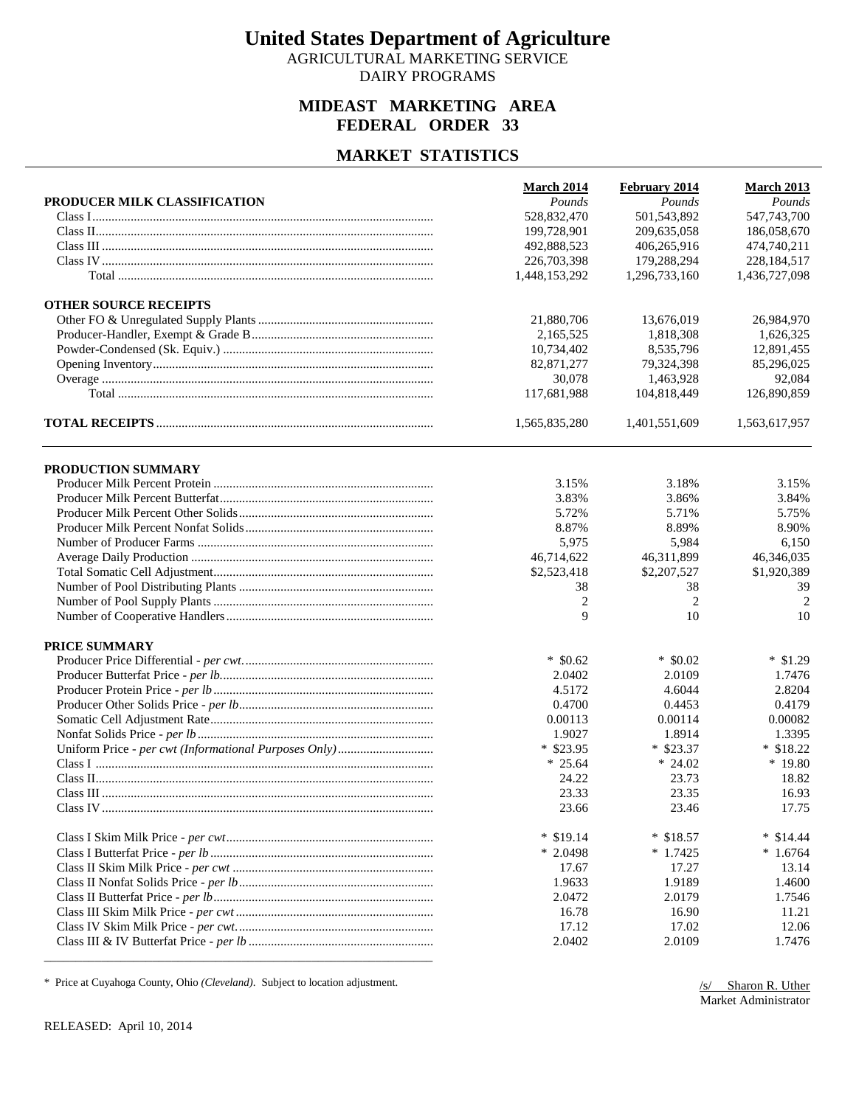AGRICULTURAL MARKETING SERVICE DAIRY PROGRAMS

## **MIDEAST MARKETING AREA FEDERAL ORDER 33**

### **MARKET STATISTICS**

|                              | <b>March 2014</b> | February 2014        | <b>March 2013</b> |
|------------------------------|-------------------|----------------------|-------------------|
| PRODUCER MILK CLASSIFICATION | Pounds            | Pounds               | Pounds            |
|                              | 528,832,470       | 501,543,892          | 547,743,700       |
|                              | 199,728,901       | 209,635,058          | 186,058,670       |
|                              | 492,888,523       | 406,265,916          | 474,740,211       |
|                              | 226,703,398       | 179,288,294          | 228,184,517       |
|                              | 1,448,153,292     | 1,296,733,160        | 1,436,727,098     |
| <b>OTHER SOURCE RECEIPTS</b> |                   |                      |                   |
|                              | 21,880,706        | 13,676,019           | 26,984,970        |
|                              | 2,165,525         | 1,818,308            | 1,626,325         |
|                              | 10,734,402        | 8.535.796            | 12,891,455        |
|                              | 82, 871, 277      | 79,324,398           | 85,296,025        |
|                              | 30,078            | 1,463,928            | 92,084            |
|                              | 117,681,988       | 104,818,449          | 126,890,859       |
|                              | 1,565,835,280     | 1,401,551,609        | 1,563,617,957     |
| PRODUCTION SUMMARY           |                   |                      |                   |
|                              | 3.15%             | 3.18%                | 3.15%             |
|                              | 3.83%             | 3.86%                | 3.84%             |
|                              | 5.72%             | 5.71%                | 5.75%             |
|                              | 8.87%             | 8.89%                | 8.90%             |
|                              | 5,975             | 5,984                | 6,150             |
|                              | 46,714,622        | 46,311,899           | 46,346,035        |
|                              | \$2,523,418       | \$2,207,527          | \$1,920,389       |
|                              |                   |                      | 39                |
|                              | 38                | 38<br>$\overline{2}$ |                   |
|                              | 2<br>9            |                      | 2                 |
|                              |                   | 10                   | 10                |
| PRICE SUMMARY                |                   |                      |                   |
|                              | $*$ \$0.62        | $*$ \$0.02           | $*$ \$1.29        |
|                              | 2.0402            | 2.0109               | 1.7476            |
|                              | 4.5172            | 4.6044               | 2.8204            |
|                              | 0.4700            | 0.4453               | 0.4179            |
|                              | 0.00113           | 0.00114              | 0.00082           |
|                              | 1.9027            | 1.8914               | 1.3395            |
|                              | $*$ \$23.95       | $*$ \$23.37          | $*$ \$18.22       |
|                              | $* 25.64$         | $*24.02$             | * 19.80           |
|                              | 24.22             | 23.73                | 18.82             |
|                              | 23.33             | 23.35                | 16.93             |
|                              | 23.66             | 23.46                | 17.75             |
|                              | $*$ \$19.14       | $*$ \$18.57          | $*$ \$14.44       |
|                              | $*2.0498$         | $*1.7425$            | $*1.6764$         |
|                              | 17.67             | 17.27                | 13.14             |
|                              | 1.9633            | 1.9189               | 1.4600            |
|                              | 2.0472            | 2.0179               | 1.7546            |
|                              | 16.78             | 16.90                | 11.21             |
|                              | 17.12             | 17.02                | 12.06             |
|                              | 2.0402            | 2.0109               | 1.7476            |
|                              |                   |                      |                   |

\* Price at Cuyahoga County, Ohio *(Cleveland)*. Subject to location adjustment.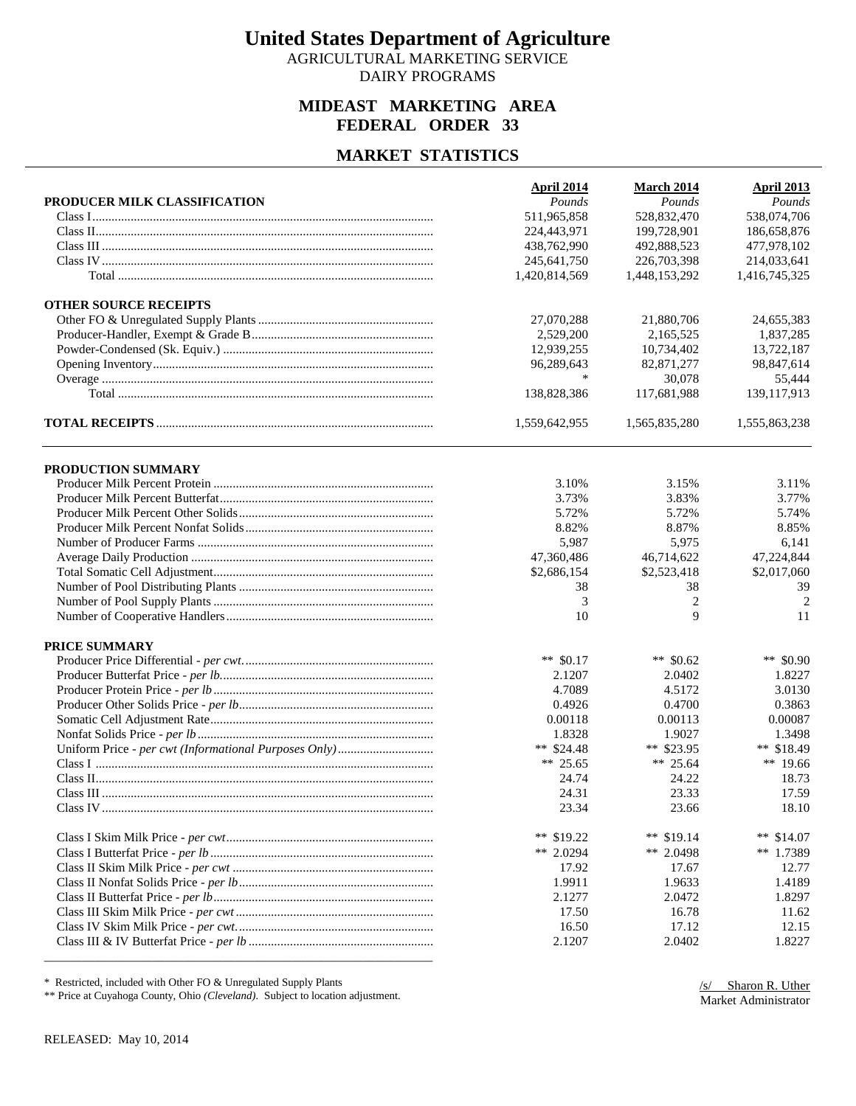AGRICULTURAL MARKETING SERVICE DAIRY PROGRAMS

## **MIDEAST MARKETING AREA FEDERAL ORDER 33**

### **MARKET STATISTICS**

| Pounds<br>Pounds<br>PRODUCER MILK CLASSIFICATION<br>511,965,858<br>538,074,706<br>528,832,470<br>224,443,971<br>199,728,901<br>186,658,876<br>477,978,102<br>438,762,990<br>492,888,523<br>245,641,750<br>226,703,398<br>214,033,641<br>1,420,814,569<br>1,448,153,292<br>1,416,745,325<br><b>OTHER SOURCE RECEIPTS</b><br>27,070,288<br>21,880,706<br>2,529,200<br>2,165,525<br>12,939,255<br>10,734,402<br>96,289,643<br>82, 871, 277<br>*<br>30,078<br>138,828,386<br>117,681,988<br>1,559,642,955<br>1,565,835,280<br>PRODUCTION SUMMARY<br>3.10%<br>3.15%<br>3.11%<br>3.73%<br>3.83%<br>3.77%<br>5.72%<br>5.72%<br>5.74%<br>8.82%<br>8.87%<br>8.85%<br>5,987<br>5,975<br>6,141<br>47,360,486<br>46,714,622<br>47,224,844<br>\$2,686,154<br>\$2,523,418<br>\$2,017,060<br>38<br>38<br>39<br>$\overline{c}$<br>3<br>9<br>10<br>11<br>PRICE SUMMARY<br>** $$0.17$<br>** $$0.62$<br>2.1207<br>2.0402<br>4.7089<br>4.5172<br>0.4926<br>0.4700<br>0.00118<br>0.00113<br>1.8328<br>1.9027<br>** \$23.95<br>** $$24.48$<br>** 25.65<br>** 25.64<br>24.74<br>24.22 | <b>April 2014</b> | <b>March 2014</b> | <b>April 2013</b> |
|----------------------------------------------------------------------------------------------------------------------------------------------------------------------------------------------------------------------------------------------------------------------------------------------------------------------------------------------------------------------------------------------------------------------------------------------------------------------------------------------------------------------------------------------------------------------------------------------------------------------------------------------------------------------------------------------------------------------------------------------------------------------------------------------------------------------------------------------------------------------------------------------------------------------------------------------------------------------------------------------------------------------------------------------------------------|-------------------|-------------------|-------------------|
|                                                                                                                                                                                                                                                                                                                                                                                                                                                                                                                                                                                                                                                                                                                                                                                                                                                                                                                                                                                                                                                                |                   |                   | Pounds            |
|                                                                                                                                                                                                                                                                                                                                                                                                                                                                                                                                                                                                                                                                                                                                                                                                                                                                                                                                                                                                                                                                |                   |                   |                   |
|                                                                                                                                                                                                                                                                                                                                                                                                                                                                                                                                                                                                                                                                                                                                                                                                                                                                                                                                                                                                                                                                |                   |                   |                   |
|                                                                                                                                                                                                                                                                                                                                                                                                                                                                                                                                                                                                                                                                                                                                                                                                                                                                                                                                                                                                                                                                |                   |                   |                   |
|                                                                                                                                                                                                                                                                                                                                                                                                                                                                                                                                                                                                                                                                                                                                                                                                                                                                                                                                                                                                                                                                |                   |                   |                   |
|                                                                                                                                                                                                                                                                                                                                                                                                                                                                                                                                                                                                                                                                                                                                                                                                                                                                                                                                                                                                                                                                |                   |                   |                   |
|                                                                                                                                                                                                                                                                                                                                                                                                                                                                                                                                                                                                                                                                                                                                                                                                                                                                                                                                                                                                                                                                |                   |                   |                   |
|                                                                                                                                                                                                                                                                                                                                                                                                                                                                                                                                                                                                                                                                                                                                                                                                                                                                                                                                                                                                                                                                |                   |                   | 24,655,383        |
|                                                                                                                                                                                                                                                                                                                                                                                                                                                                                                                                                                                                                                                                                                                                                                                                                                                                                                                                                                                                                                                                |                   |                   | 1,837,285         |
|                                                                                                                                                                                                                                                                                                                                                                                                                                                                                                                                                                                                                                                                                                                                                                                                                                                                                                                                                                                                                                                                |                   |                   | 13,722,187        |
|                                                                                                                                                                                                                                                                                                                                                                                                                                                                                                                                                                                                                                                                                                                                                                                                                                                                                                                                                                                                                                                                |                   |                   | 98,847,614        |
|                                                                                                                                                                                                                                                                                                                                                                                                                                                                                                                                                                                                                                                                                                                                                                                                                                                                                                                                                                                                                                                                |                   |                   | 55,444            |
|                                                                                                                                                                                                                                                                                                                                                                                                                                                                                                                                                                                                                                                                                                                                                                                                                                                                                                                                                                                                                                                                |                   |                   | 139,117,913       |
|                                                                                                                                                                                                                                                                                                                                                                                                                                                                                                                                                                                                                                                                                                                                                                                                                                                                                                                                                                                                                                                                |                   |                   | 1,555,863,238     |
|                                                                                                                                                                                                                                                                                                                                                                                                                                                                                                                                                                                                                                                                                                                                                                                                                                                                                                                                                                                                                                                                |                   |                   |                   |
|                                                                                                                                                                                                                                                                                                                                                                                                                                                                                                                                                                                                                                                                                                                                                                                                                                                                                                                                                                                                                                                                |                   |                   |                   |
|                                                                                                                                                                                                                                                                                                                                                                                                                                                                                                                                                                                                                                                                                                                                                                                                                                                                                                                                                                                                                                                                |                   |                   |                   |
|                                                                                                                                                                                                                                                                                                                                                                                                                                                                                                                                                                                                                                                                                                                                                                                                                                                                                                                                                                                                                                                                |                   |                   |                   |
|                                                                                                                                                                                                                                                                                                                                                                                                                                                                                                                                                                                                                                                                                                                                                                                                                                                                                                                                                                                                                                                                |                   |                   |                   |
|                                                                                                                                                                                                                                                                                                                                                                                                                                                                                                                                                                                                                                                                                                                                                                                                                                                                                                                                                                                                                                                                |                   |                   |                   |
|                                                                                                                                                                                                                                                                                                                                                                                                                                                                                                                                                                                                                                                                                                                                                                                                                                                                                                                                                                                                                                                                |                   |                   |                   |
|                                                                                                                                                                                                                                                                                                                                                                                                                                                                                                                                                                                                                                                                                                                                                                                                                                                                                                                                                                                                                                                                |                   |                   |                   |
|                                                                                                                                                                                                                                                                                                                                                                                                                                                                                                                                                                                                                                                                                                                                                                                                                                                                                                                                                                                                                                                                |                   |                   |                   |
|                                                                                                                                                                                                                                                                                                                                                                                                                                                                                                                                                                                                                                                                                                                                                                                                                                                                                                                                                                                                                                                                |                   |                   | 2                 |
|                                                                                                                                                                                                                                                                                                                                                                                                                                                                                                                                                                                                                                                                                                                                                                                                                                                                                                                                                                                                                                                                |                   |                   |                   |
|                                                                                                                                                                                                                                                                                                                                                                                                                                                                                                                                                                                                                                                                                                                                                                                                                                                                                                                                                                                                                                                                |                   |                   |                   |
|                                                                                                                                                                                                                                                                                                                                                                                                                                                                                                                                                                                                                                                                                                                                                                                                                                                                                                                                                                                                                                                                |                   |                   |                   |
|                                                                                                                                                                                                                                                                                                                                                                                                                                                                                                                                                                                                                                                                                                                                                                                                                                                                                                                                                                                                                                                                |                   |                   | ** \$0.90         |
|                                                                                                                                                                                                                                                                                                                                                                                                                                                                                                                                                                                                                                                                                                                                                                                                                                                                                                                                                                                                                                                                |                   |                   | 1.8227            |
|                                                                                                                                                                                                                                                                                                                                                                                                                                                                                                                                                                                                                                                                                                                                                                                                                                                                                                                                                                                                                                                                |                   |                   | 3.0130            |
|                                                                                                                                                                                                                                                                                                                                                                                                                                                                                                                                                                                                                                                                                                                                                                                                                                                                                                                                                                                                                                                                |                   |                   | 0.3863            |
|                                                                                                                                                                                                                                                                                                                                                                                                                                                                                                                                                                                                                                                                                                                                                                                                                                                                                                                                                                                                                                                                |                   |                   | 0.00087           |
|                                                                                                                                                                                                                                                                                                                                                                                                                                                                                                                                                                                                                                                                                                                                                                                                                                                                                                                                                                                                                                                                |                   |                   | 1.3498            |
|                                                                                                                                                                                                                                                                                                                                                                                                                                                                                                                                                                                                                                                                                                                                                                                                                                                                                                                                                                                                                                                                |                   |                   | ** $$18.49$       |
|                                                                                                                                                                                                                                                                                                                                                                                                                                                                                                                                                                                                                                                                                                                                                                                                                                                                                                                                                                                                                                                                |                   |                   | ** 19.66          |
|                                                                                                                                                                                                                                                                                                                                                                                                                                                                                                                                                                                                                                                                                                                                                                                                                                                                                                                                                                                                                                                                |                   |                   | 18.73             |
| 24.31<br>23.33                                                                                                                                                                                                                                                                                                                                                                                                                                                                                                                                                                                                                                                                                                                                                                                                                                                                                                                                                                                                                                                 |                   |                   | 17.59             |
| 23.34<br>23.66                                                                                                                                                                                                                                                                                                                                                                                                                                                                                                                                                                                                                                                                                                                                                                                                                                                                                                                                                                                                                                                 |                   |                   | 18.10             |
|                                                                                                                                                                                                                                                                                                                                                                                                                                                                                                                                                                                                                                                                                                                                                                                                                                                                                                                                                                                                                                                                |                   |                   |                   |
| ** $$19.14$<br>** $$19.22$                                                                                                                                                                                                                                                                                                                                                                                                                                                                                                                                                                                                                                                                                                                                                                                                                                                                                                                                                                                                                                     |                   |                   | ** $$14.07$       |
| ** 2.0294<br>** 2.0498                                                                                                                                                                                                                                                                                                                                                                                                                                                                                                                                                                                                                                                                                                                                                                                                                                                                                                                                                                                                                                         |                   |                   | ** $1.7389$       |
| 17.67<br>17.92                                                                                                                                                                                                                                                                                                                                                                                                                                                                                                                                                                                                                                                                                                                                                                                                                                                                                                                                                                                                                                                 |                   |                   | 12.77             |
| 1.9911<br>1.9633                                                                                                                                                                                                                                                                                                                                                                                                                                                                                                                                                                                                                                                                                                                                                                                                                                                                                                                                                                                                                                               |                   |                   | 1.4189            |
| 2.1277<br>2.0472                                                                                                                                                                                                                                                                                                                                                                                                                                                                                                                                                                                                                                                                                                                                                                                                                                                                                                                                                                                                                                               |                   |                   | 1.8297            |
| 16.78<br>17.50                                                                                                                                                                                                                                                                                                                                                                                                                                                                                                                                                                                                                                                                                                                                                                                                                                                                                                                                                                                                                                                 |                   |                   | 11.62             |
| 17.12<br>16.50                                                                                                                                                                                                                                                                                                                                                                                                                                                                                                                                                                                                                                                                                                                                                                                                                                                                                                                                                                                                                                                 |                   |                   | 12.15             |
| 2.1207<br>2.0402                                                                                                                                                                                                                                                                                                                                                                                                                                                                                                                                                                                                                                                                                                                                                                                                                                                                                                                                                                                                                                               |                   |                   | 1.8227            |

\* Restricted, included with Other FO & Unregulated Supply Plants

\*\* Price at Cuyahoga County, Ohio *(Cleveland)*. Subject to location adjustment.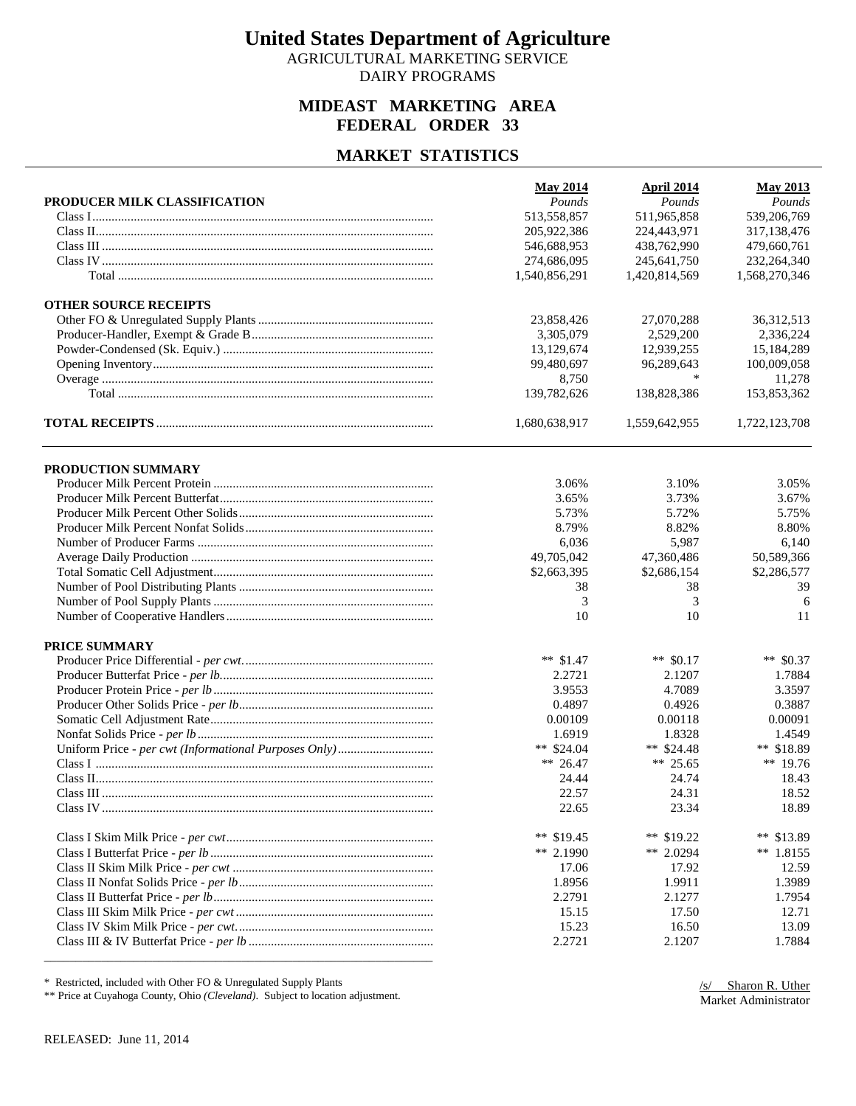AGRICULTURAL MARKETING SERVICE DAIRY PROGRAMS

## **MIDEAST MARKETING AREA FEDERAL ORDER 33**

### **MARKET STATISTICS**

|                              | <b>May 2014</b> | April 2014    | <b>May 2013</b> |
|------------------------------|-----------------|---------------|-----------------|
| PRODUCER MILK CLASSIFICATION | Pounds          | Pounds        | Pounds          |
|                              | 513,558,857     | 511,965,858   | 539,206,769     |
|                              | 205,922,386     | 224,443,971   | 317,138,476     |
|                              | 546,688,953     | 438,762,990   | 479,660,761     |
|                              | 274,686,095     | 245,641,750   | 232,264,340     |
|                              | 1,540,856,291   | 1,420,814,569 | 1,568,270,346   |
| <b>OTHER SOURCE RECEIPTS</b> |                 |               |                 |
|                              | 23,858,426      | 27,070,288    | 36,312,513      |
|                              | 3,305,079       | 2,529,200     | 2,336,224       |
|                              | 13,129,674      | 12.939.255    | 15,184,289      |
|                              | 99,480,697      | 96,289,643    | 100,009,058     |
|                              | 8,750           | *             | 11,278          |
|                              | 139,782,626     | 138,828,386   | 153,853,362     |
|                              | 1,680,638,917   | 1,559,642,955 | 1,722,123,708   |
| PRODUCTION SUMMARY           |                 |               |                 |
|                              | 3.06%           | 3.10%         | 3.05%           |
|                              | 3.65%           | 3.73%         | 3.67%           |
|                              | 5.73%           | 5.72%         | 5.75%           |
|                              | 8.79%           | 8.82%         | 8.80%           |
|                              | 6,036           | 5,987         | 6,140           |
|                              | 49,705,042      | 47,360,486    | 50,589,366      |
|                              | \$2,663,395     | \$2,686,154   | \$2,286,577     |
|                              | 38              | 38            | 39              |
|                              | 3               | 3             | 6               |
|                              | 10              | 10            | 11              |
|                              |                 |               |                 |
| PRICE SUMMARY                |                 |               |                 |
|                              | ** $$1.47$      | ** $$0.17$    | ** \$0.37       |
|                              | 2.2721          | 2.1207        | 1.7884          |
|                              | 3.9553          | 4.7089        | 3.3597          |
|                              | 0.4897          | 0.4926        | 0.3887          |
|                              | 0.00109         | 0.00118       | 0.00091         |
|                              | 1.6919          | 1.8328        | 1.4549          |
|                              | ** $$24.04$     | ** $$24.48$   | ** \$18.89      |
|                              | ** 26.47        | ** 25.65      | ** 19.76        |
|                              | 24.44           | 24.74         | 18.43           |
|                              | 22.57           | 24.31         | 18.52           |
|                              | 22.65           | 23.34         | 18.89           |
|                              | ** $$19.45$     | ** $$19.22$   | ** $$13.89$     |
|                              | ** 2.1990       | ** 2.0294     | $*$ 1.8155      |
|                              | 17.06           | 17.92         | 12.59           |
|                              | 1.8956          | 1.9911        | 1.3989          |
|                              | 2.2791          | 2.1277        | 1.7954          |
|                              | 15.15           | 17.50         | 12.71           |
|                              | 15.23           | 16.50         | 13.09           |
|                              | 2.2721          | 2.1207        | 1.7884          |
|                              |                 |               |                 |

\* Restricted, included with Other FO & Unregulated Supply Plants

\*\* Price at Cuyahoga County, Ohio *(Cleveland)*. Subject to location adjustment.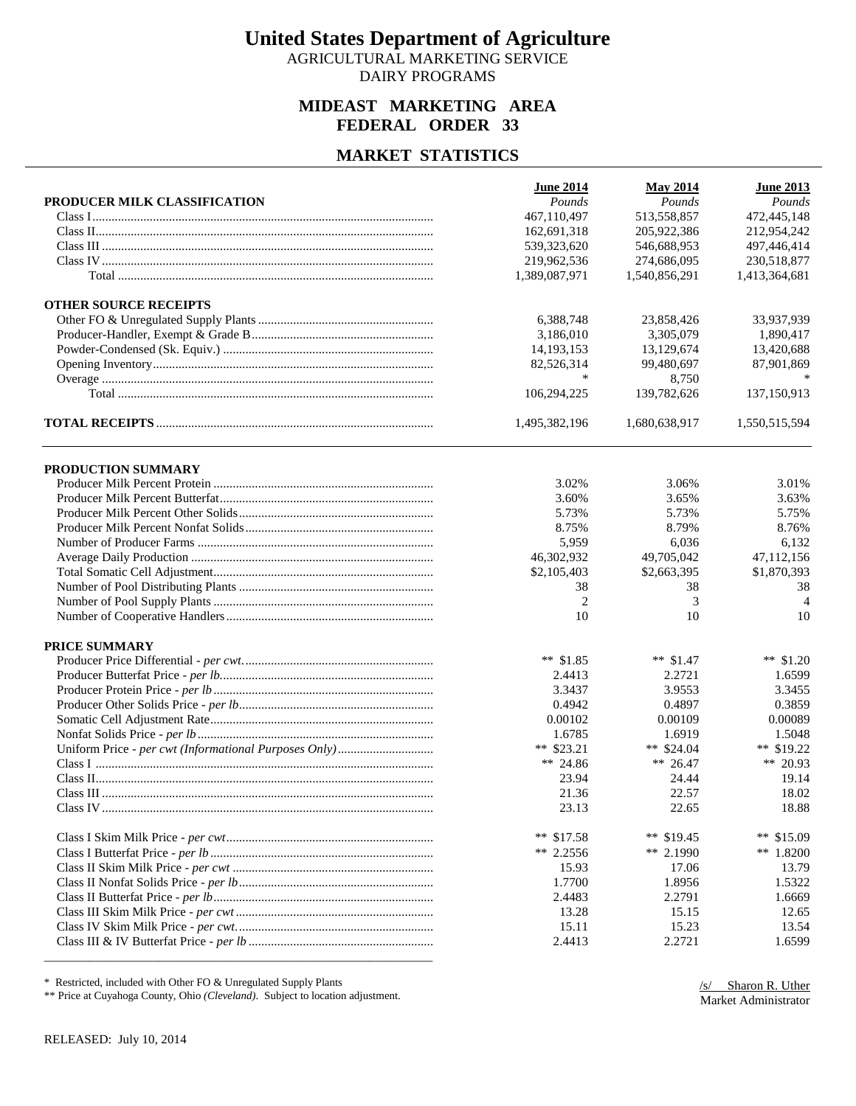AGRICULTURAL MARKETING SERVICE DAIRY PROGRAMS

## **MIDEAST MARKETING AREA FEDERAL ORDER 33**

#### **MARKET STATISTICS**

| Pounds<br>Pounds<br>PRODUCER MILK CLASSIFICATION<br>Pounds<br>513,558,857<br>472,445,148<br>467.110.497<br>162,691,318<br>205,922,386<br>212,954,242<br>497,446,414<br>539, 323, 620<br>546,688,953<br>219,962,536<br>274,686,095<br>230,518,877<br>1,389,087,971<br>1,540,856,291<br>1,413,364,681<br><b>OTHER SOURCE RECEIPTS</b><br>33,937,939<br>6,388,748<br>23,858,426<br>3,186,010<br>3,305,079<br>1,890,417<br>14, 193, 153<br>13,129,674<br>13,420,688<br>82,526,314<br>99,480,697<br>87.901.869<br>*<br>8,750<br>137,150,913<br>106,294,225<br>139,782,626<br>1,495,382,196<br>1,680,638,917<br>1,550,515,594<br>PRODUCTION SUMMARY<br>3.02%<br>3.06%<br>3.01%<br>3.60%<br>3.65%<br>3.63%<br>5.73%<br>5.73%<br>5.75%<br>8.75%<br>8.79%<br>8.76%<br>5,959<br>6,036<br>6,132<br>46,302,932<br>49,705,042<br>47,112,156<br>\$2,105,403<br>\$2,663,395<br>\$1,870,393<br>38<br>38<br>38<br>3<br>2<br>$\overline{4}$<br>10<br>10<br>10<br>PRICE SUMMARY<br>** $$1.85$<br>** $$1.47$<br>** $$1.20$<br>2.4413<br>2.2721<br>1.6599<br>3.3437<br>3.9553<br>3.3455<br>0.4942<br>0.4897<br>0.3859<br>0.00089<br>0.00102<br>0.00109<br>1.6785<br>1.6919<br>1.5048 |
|-----------------------------------------------------------------------------------------------------------------------------------------------------------------------------------------------------------------------------------------------------------------------------------------------------------------------------------------------------------------------------------------------------------------------------------------------------------------------------------------------------------------------------------------------------------------------------------------------------------------------------------------------------------------------------------------------------------------------------------------------------------------------------------------------------------------------------------------------------------------------------------------------------------------------------------------------------------------------------------------------------------------------------------------------------------------------------------------------------------------------------------------------------------------|
|                                                                                                                                                                                                                                                                                                                                                                                                                                                                                                                                                                                                                                                                                                                                                                                                                                                                                                                                                                                                                                                                                                                                                                 |
|                                                                                                                                                                                                                                                                                                                                                                                                                                                                                                                                                                                                                                                                                                                                                                                                                                                                                                                                                                                                                                                                                                                                                                 |
|                                                                                                                                                                                                                                                                                                                                                                                                                                                                                                                                                                                                                                                                                                                                                                                                                                                                                                                                                                                                                                                                                                                                                                 |
|                                                                                                                                                                                                                                                                                                                                                                                                                                                                                                                                                                                                                                                                                                                                                                                                                                                                                                                                                                                                                                                                                                                                                                 |
|                                                                                                                                                                                                                                                                                                                                                                                                                                                                                                                                                                                                                                                                                                                                                                                                                                                                                                                                                                                                                                                                                                                                                                 |
|                                                                                                                                                                                                                                                                                                                                                                                                                                                                                                                                                                                                                                                                                                                                                                                                                                                                                                                                                                                                                                                                                                                                                                 |
|                                                                                                                                                                                                                                                                                                                                                                                                                                                                                                                                                                                                                                                                                                                                                                                                                                                                                                                                                                                                                                                                                                                                                                 |
|                                                                                                                                                                                                                                                                                                                                                                                                                                                                                                                                                                                                                                                                                                                                                                                                                                                                                                                                                                                                                                                                                                                                                                 |
|                                                                                                                                                                                                                                                                                                                                                                                                                                                                                                                                                                                                                                                                                                                                                                                                                                                                                                                                                                                                                                                                                                                                                                 |
|                                                                                                                                                                                                                                                                                                                                                                                                                                                                                                                                                                                                                                                                                                                                                                                                                                                                                                                                                                                                                                                                                                                                                                 |
|                                                                                                                                                                                                                                                                                                                                                                                                                                                                                                                                                                                                                                                                                                                                                                                                                                                                                                                                                                                                                                                                                                                                                                 |
|                                                                                                                                                                                                                                                                                                                                                                                                                                                                                                                                                                                                                                                                                                                                                                                                                                                                                                                                                                                                                                                                                                                                                                 |
|                                                                                                                                                                                                                                                                                                                                                                                                                                                                                                                                                                                                                                                                                                                                                                                                                                                                                                                                                                                                                                                                                                                                                                 |
|                                                                                                                                                                                                                                                                                                                                                                                                                                                                                                                                                                                                                                                                                                                                                                                                                                                                                                                                                                                                                                                                                                                                                                 |
|                                                                                                                                                                                                                                                                                                                                                                                                                                                                                                                                                                                                                                                                                                                                                                                                                                                                                                                                                                                                                                                                                                                                                                 |
|                                                                                                                                                                                                                                                                                                                                                                                                                                                                                                                                                                                                                                                                                                                                                                                                                                                                                                                                                                                                                                                                                                                                                                 |
|                                                                                                                                                                                                                                                                                                                                                                                                                                                                                                                                                                                                                                                                                                                                                                                                                                                                                                                                                                                                                                                                                                                                                                 |
|                                                                                                                                                                                                                                                                                                                                                                                                                                                                                                                                                                                                                                                                                                                                                                                                                                                                                                                                                                                                                                                                                                                                                                 |
|                                                                                                                                                                                                                                                                                                                                                                                                                                                                                                                                                                                                                                                                                                                                                                                                                                                                                                                                                                                                                                                                                                                                                                 |
|                                                                                                                                                                                                                                                                                                                                                                                                                                                                                                                                                                                                                                                                                                                                                                                                                                                                                                                                                                                                                                                                                                                                                                 |
|                                                                                                                                                                                                                                                                                                                                                                                                                                                                                                                                                                                                                                                                                                                                                                                                                                                                                                                                                                                                                                                                                                                                                                 |
|                                                                                                                                                                                                                                                                                                                                                                                                                                                                                                                                                                                                                                                                                                                                                                                                                                                                                                                                                                                                                                                                                                                                                                 |
|                                                                                                                                                                                                                                                                                                                                                                                                                                                                                                                                                                                                                                                                                                                                                                                                                                                                                                                                                                                                                                                                                                                                                                 |
|                                                                                                                                                                                                                                                                                                                                                                                                                                                                                                                                                                                                                                                                                                                                                                                                                                                                                                                                                                                                                                                                                                                                                                 |
|                                                                                                                                                                                                                                                                                                                                                                                                                                                                                                                                                                                                                                                                                                                                                                                                                                                                                                                                                                                                                                                                                                                                                                 |
|                                                                                                                                                                                                                                                                                                                                                                                                                                                                                                                                                                                                                                                                                                                                                                                                                                                                                                                                                                                                                                                                                                                                                                 |
|                                                                                                                                                                                                                                                                                                                                                                                                                                                                                                                                                                                                                                                                                                                                                                                                                                                                                                                                                                                                                                                                                                                                                                 |
|                                                                                                                                                                                                                                                                                                                                                                                                                                                                                                                                                                                                                                                                                                                                                                                                                                                                                                                                                                                                                                                                                                                                                                 |
|                                                                                                                                                                                                                                                                                                                                                                                                                                                                                                                                                                                                                                                                                                                                                                                                                                                                                                                                                                                                                                                                                                                                                                 |
|                                                                                                                                                                                                                                                                                                                                                                                                                                                                                                                                                                                                                                                                                                                                                                                                                                                                                                                                                                                                                                                                                                                                                                 |
|                                                                                                                                                                                                                                                                                                                                                                                                                                                                                                                                                                                                                                                                                                                                                                                                                                                                                                                                                                                                                                                                                                                                                                 |
|                                                                                                                                                                                                                                                                                                                                                                                                                                                                                                                                                                                                                                                                                                                                                                                                                                                                                                                                                                                                                                                                                                                                                                 |
| ** $$23.21$<br>** $$24.04$<br>** $$19.22$                                                                                                                                                                                                                                                                                                                                                                                                                                                                                                                                                                                                                                                                                                                                                                                                                                                                                                                                                                                                                                                                                                                       |
| ** 20.93<br>** 24.86<br>** 26.47                                                                                                                                                                                                                                                                                                                                                                                                                                                                                                                                                                                                                                                                                                                                                                                                                                                                                                                                                                                                                                                                                                                                |
| 23.94<br>24.44<br>19.14                                                                                                                                                                                                                                                                                                                                                                                                                                                                                                                                                                                                                                                                                                                                                                                                                                                                                                                                                                                                                                                                                                                                         |
| 21.36<br>22.57<br>18.02                                                                                                                                                                                                                                                                                                                                                                                                                                                                                                                                                                                                                                                                                                                                                                                                                                                                                                                                                                                                                                                                                                                                         |
| 18.88<br>23.13<br>22.65                                                                                                                                                                                                                                                                                                                                                                                                                                                                                                                                                                                                                                                                                                                                                                                                                                                                                                                                                                                                                                                                                                                                         |
| ** $$17.58$<br>** $$19.45$<br>** $$15.09$                                                                                                                                                                                                                                                                                                                                                                                                                                                                                                                                                                                                                                                                                                                                                                                                                                                                                                                                                                                                                                                                                                                       |
| ** 2.2556<br>** 2.1990<br>** $1.8200$                                                                                                                                                                                                                                                                                                                                                                                                                                                                                                                                                                                                                                                                                                                                                                                                                                                                                                                                                                                                                                                                                                                           |
| 15.93<br>17.06<br>13.79                                                                                                                                                                                                                                                                                                                                                                                                                                                                                                                                                                                                                                                                                                                                                                                                                                                                                                                                                                                                                                                                                                                                         |
| 1.7700<br>1.8956<br>1.5322                                                                                                                                                                                                                                                                                                                                                                                                                                                                                                                                                                                                                                                                                                                                                                                                                                                                                                                                                                                                                                                                                                                                      |
| 2.4483<br>2.2791<br>1.6669                                                                                                                                                                                                                                                                                                                                                                                                                                                                                                                                                                                                                                                                                                                                                                                                                                                                                                                                                                                                                                                                                                                                      |
| 13.28<br>15.15<br>12.65                                                                                                                                                                                                                                                                                                                                                                                                                                                                                                                                                                                                                                                                                                                                                                                                                                                                                                                                                                                                                                                                                                                                         |
| 15.11<br>15.23<br>13.54                                                                                                                                                                                                                                                                                                                                                                                                                                                                                                                                                                                                                                                                                                                                                                                                                                                                                                                                                                                                                                                                                                                                         |
| 2.4413<br>2.2721<br>1.6599                                                                                                                                                                                                                                                                                                                                                                                                                                                                                                                                                                                                                                                                                                                                                                                                                                                                                                                                                                                                                                                                                                                                      |

\* Restricted, included with Other FO & Unregulated Supply Plants

\*\* Price at Cuyahoga County, Ohio *(Cleveland)*. Subject to location adjustment.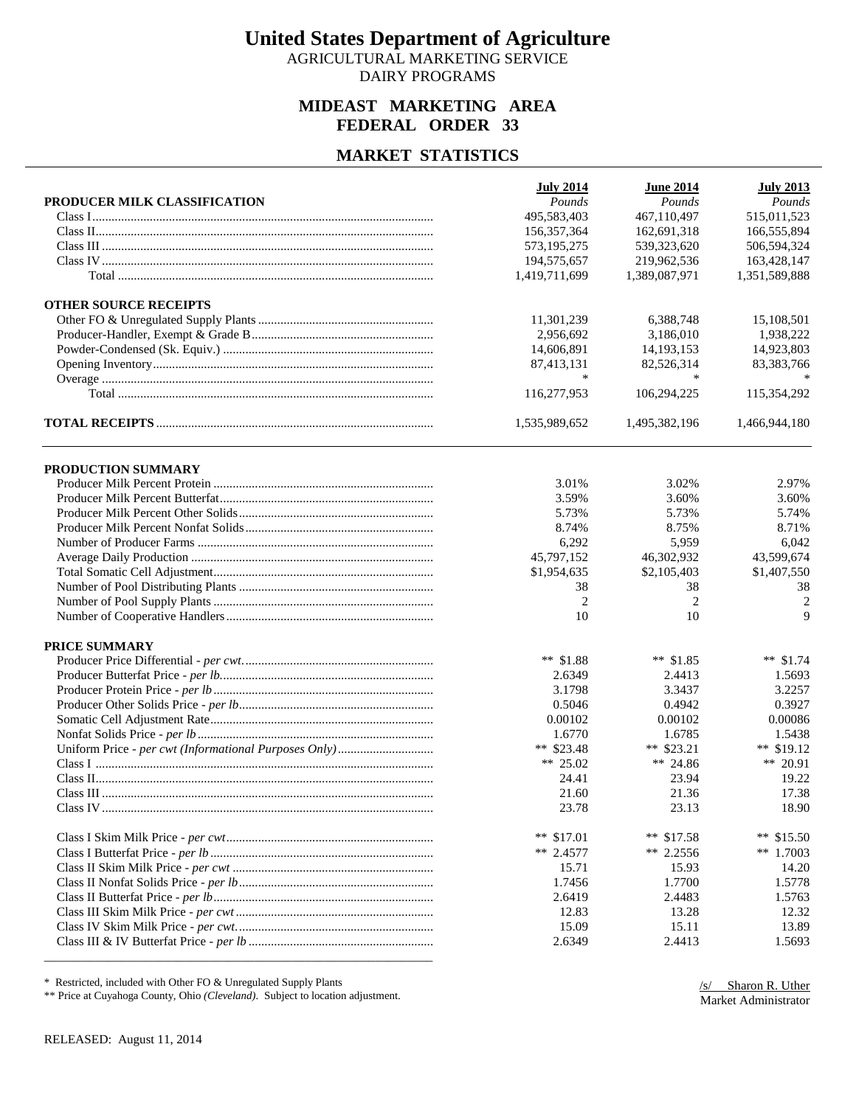AGRICULTURAL MARKETING SERVICE DAIRY PROGRAMS

## **MIDEAST MARKETING AREA FEDERAL ORDER 33**

#### **MARKET STATISTICS**

| PRODUCER MILK CLASSIFICATION | <b>July 2014</b><br>Pounds | <b>June 2014</b><br>Pounds | <b>July 2013</b><br>Pounds |
|------------------------------|----------------------------|----------------------------|----------------------------|
|                              | 495,583,403                | 467,110,497                | 515,011,523                |
|                              | 156, 357, 364              | 162,691,318                | 166,555,894                |
|                              | 573,195,275                | 539, 323, 620              | 506,594,324                |
|                              | 194,575,657                | 219,962,536                | 163,428,147                |
|                              | 1,419,711,699              | 1,389,087,971              | 1,351,589,888              |
|                              |                            |                            |                            |
| <b>OTHER SOURCE RECEIPTS</b> |                            |                            |                            |
|                              | 11,301,239                 | 6,388,748                  | 15,108,501                 |
|                              | 2,956,692                  | 3.186.010                  | 1,938,222                  |
|                              | 14,606,891                 | 14, 193, 153               | 14,923,803                 |
|                              | 87,413,131                 | 82,526,314                 | 83,383,766                 |
|                              | ∗                          | ∗                          |                            |
|                              | 116,277,953                | 106,294,225                | 115,354,292                |
|                              | 1,535,989,652              | 1,495,382,196              | 1,466,944,180              |
| PRODUCTION SUMMARY           |                            |                            |                            |
|                              | 3.01%                      | 3.02%                      | 2.97%                      |
|                              | 3.59%                      | 3.60%                      | 3.60%                      |
|                              | 5.73%                      | 5.73%                      | 5.74%                      |
|                              | 8.74%                      | 8.75%                      | 8.71%                      |
|                              | 6,292                      | 5,959                      | 6,042                      |
|                              |                            |                            |                            |
|                              | 45,797,152                 | 46,302,932                 | 43,599,674                 |
|                              | \$1,954,635                | \$2,105,403                | \$1,407,550                |
|                              | 38                         | 38                         | 38                         |
|                              | $\overline{2}$             | $\overline{2}$             | $\overline{c}$             |
|                              | 10                         | 10                         | 9                          |
| PRICE SUMMARY                |                            |                            |                            |
|                              | ** $$1.88$                 | ** $$1.85$                 | ** $$1.74$                 |
|                              | 2.6349                     | 2.4413                     | 1.5693                     |
|                              | 3.1798                     | 3.3437                     | 3.2257                     |
|                              | 0.5046                     | 0.4942                     | 0.3927                     |
|                              | 0.00102                    | 0.00102                    | 0.00086                    |
|                              | 1.6770                     | 1.6785                     | 1.5438                     |
|                              | ** $$23.48$                | ** $$23.21$                | ** $$19.12$                |
|                              | ** 25.02                   | ** 24.86                   | ** 20.91                   |
|                              | 24.41                      | 23.94                      | 19.22                      |
|                              | 21.60                      | 21.36                      | 17.38                      |
|                              | 23.78                      | 23.13                      | 18.90                      |
|                              |                            |                            |                            |
|                              | ** $$17.01$                | ** $$17.58$                | ** $$15.50$                |
|                              | ** 2.4577                  | ** 2.2556                  | ** $1.7003$                |
|                              | 15.71                      | 15.93                      | 14.20                      |
|                              | 1.7456                     | 1.7700                     | 1.5778                     |
|                              | 2.6419                     | 2.4483                     | 1.5763                     |
|                              | 12.83                      | 13.28                      | 12.32                      |
|                              | 15.09                      | 15.11                      | 13.89                      |
|                              | 2.6349                     | 2.4413                     | 1.5693                     |
|                              |                            |                            |                            |

\* Restricted, included with Other FO & Unregulated Supply Plants

\*\* Price at Cuyahoga County, Ohio *(Cleveland)*. Subject to location adjustment.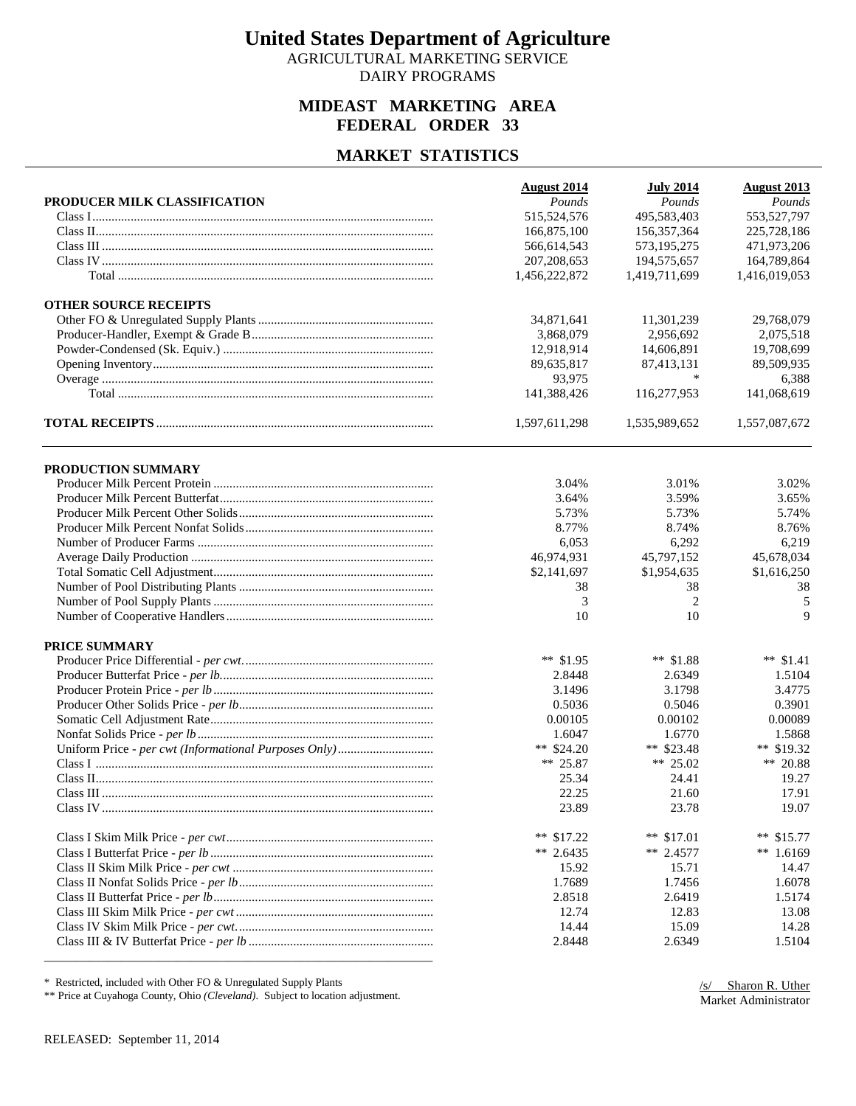AGRICULTURAL MARKETING SERVICE DAIRY PROGRAMS

## **MIDEAST MARKETING AREA FEDERAL ORDER 33**

### **MARKET STATISTICS**

| PRODUCER MILK CLASSIFICATION | <b>August 2014</b><br>Pounds | <b>July 2014</b><br>Pounds | <b>August 2013</b><br>Pounds |
|------------------------------|------------------------------|----------------------------|------------------------------|
|                              | 515,524,576                  | 495,583,403                | 553,527,797                  |
|                              | 166,875,100                  | 156,357,364                | 225,728,186                  |
|                              | 566,614,543                  | 573,195,275                | 471,973,206                  |
|                              | 207, 208, 653                | 194,575,657                | 164,789,864                  |
|                              | 1,456,222,872                | 1,419,711,699              | 1,416,019,053                |
|                              |                              |                            |                              |
| <b>OTHER SOURCE RECEIPTS</b> |                              |                            |                              |
|                              | 34,871,641                   | 11,301,239                 | 29,768,079                   |
|                              | 3,868,079                    | 2,956,692                  | 2,075,518                    |
|                              | 12,918,914                   | 14,606,891                 | 19,708,699                   |
|                              | 89,635,817                   | 87,413,131                 | 89,509,935                   |
|                              | 93,975                       | *                          | 6,388                        |
|                              | 141,388,426                  | 116,277,953                | 141,068,619                  |
|                              | 1,597,611,298                | 1,535,989,652              | 1,557,087,672                |
| PRODUCTION SUMMARY           |                              |                            |                              |
|                              | 3.04%                        | 3.01%                      | 3.02%                        |
|                              | 3.64%                        | 3.59%                      | 3.65%                        |
|                              | 5.73%                        | 5.73%                      | 5.74%                        |
|                              | 8.77%                        | 8.74%                      | 8.76%                        |
|                              | 6,053                        | 6,292                      | 6,219                        |
|                              | 46,974,931                   | 45,797,152                 | 45,678,034                   |
|                              | \$2,141,697                  | \$1,954,635                | \$1,616,250                  |
|                              | 38                           | 38                         | 38                           |
|                              | 3                            | $\overline{2}$             | 5                            |
|                              | 10                           | 10                         | 9                            |
| PRICE SUMMARY                |                              |                            |                              |
|                              | ** $$1.95$                   | ** $$1.88$                 | ** $$1.41$                   |
|                              | 2.8448                       | 2.6349                     | 1.5104                       |
|                              |                              |                            |                              |
|                              | 3.1496                       | 3.1798                     | 3.4775                       |
|                              | 0.5036                       | 0.5046                     | 0.3901                       |
|                              | 0.00105                      | 0.00102                    | 0.00089                      |
|                              | 1.6047                       | 1.6770                     | 1.5868                       |
|                              | ** $$24.20$                  | ** $$23.48$                | ** \$19.32                   |
|                              | ** 25.87                     | ** 25.02                   | ** 20.88                     |
|                              | 25.34                        | 24.41                      | 19.27                        |
|                              | 22.25                        | 21.60                      | 17.91                        |
|                              | 23.89                        | 23.78                      | 19.07                        |
|                              | ** $$17.22$                  | ** $$17.01$                | ** $$15.77$                  |
|                              | ** 2.6435                    | $** 2.4577$                | ** $1.6169$                  |
|                              | 15.92                        | 15.71                      | 14.47                        |
|                              | 1.7689                       | 1.7456                     | 1.6078                       |
|                              | 2.8518                       | 2.6419                     | 1.5174                       |
|                              | 12.74                        | 12.83                      | 13.08                        |
|                              | 14.44                        | 15.09                      | 14.28                        |
|                              | 2.8448                       | 2.6349                     | 1.5104                       |
|                              |                              |                            |                              |

\* Restricted, included with Other FO & Unregulated Supply Plants

\*\* Price at Cuyahoga County, Ohio *(Cleveland)*. Subject to location adjustment.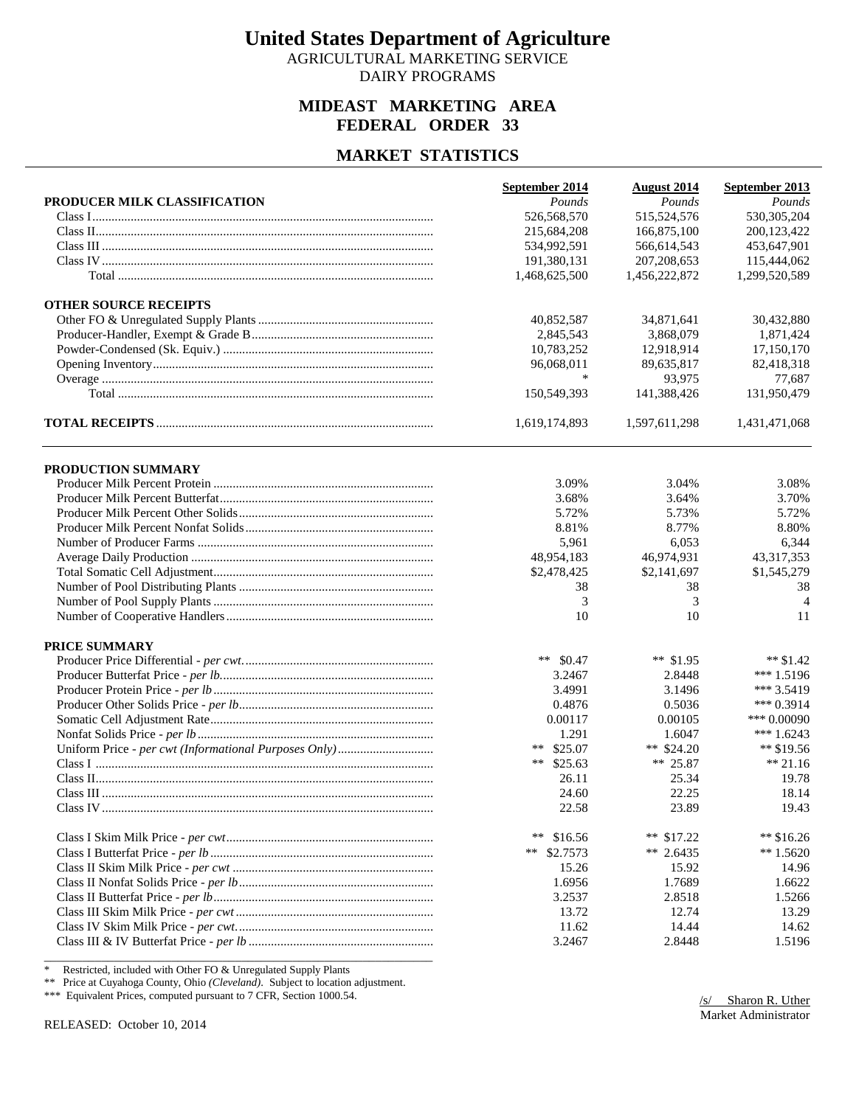AGRICULTURAL MARKETING SERVICE DAIRY PROGRAMS

### **MIDEAST MARKETING AREA FEDERAL ORDER 33**

#### **MARKET STATISTICS**

|                              | September 2014 | <b>August</b> 2014 | September 2013 |
|------------------------------|----------------|--------------------|----------------|
| PRODUCER MILK CLASSIFICATION | Pounds         | Pounds             | Pounds         |
|                              | 526,568,570    | 515,524,576        | 530,305,204    |
|                              | 215,684,208    | 166,875,100        | 200,123,422    |
|                              | 534,992,591    | 566,614,543        | 453,647,901    |
|                              | 191,380,131    | 207, 208, 653      | 115,444,062    |
|                              | 1,468,625,500  | 1,456,222,872      | 1,299,520,589  |
| <b>OTHER SOURCE RECEIPTS</b> |                |                    |                |
|                              | 40,852,587     | 34,871,641         | 30,432,880     |
|                              | 2,845,543      | 3,868,079          | 1,871,424      |
|                              | 10,783,252     | 12,918,914         | 17,150,170     |
|                              | 96,068,011     | 89,635,817         | 82,418,318     |
|                              |                | 93,975             | 77,687         |
|                              | 150,549,393    | 141,388,426        | 131,950,479    |
|                              | 1,619,174,893  | 1,597,611,298      | 1,431,471,068  |
| PRODUCTION SUMMARY           |                |                    |                |
|                              | 3.09%          | 3.04%              | 3.08%          |
|                              | 3.68%          | 3.64%              | 3.70%          |
|                              | 5.72%          | 5.73%              | 5.72%          |
|                              | 8.81%          | 8.77%              | 8.80%          |
|                              | 5,961          | 6,053              | 6,344          |
|                              | 48,954,183     | 46,974,931         | 43, 317, 353   |
|                              | \$2,478,425    | \$2,141,697        | \$1,545,279    |
|                              | 38             | 38                 | 38             |
|                              | 3              | 3                  | $\overline{4}$ |
|                              | 10             | 10                 | 11             |
| PRICE SUMMARY                |                |                    |                |
|                              | ** $$0.47$     | ** $$1.95$         | ** $$1.42$     |
|                              | 3.2467         | 2.8448             | *** $1.5196$   |
|                              | 3.4991         | 3.1496             | *** 3.5419     |
|                              | 0.4876         | 0.5036             | *** $0.3914$   |
|                              | 0.00117        | 0.00105            | *** $0.00090$  |
|                              | 1.291          | 1.6047             | *** $1.6243$   |
|                              | ** $$25.07$    | ** $$24.20$        | ** \$19.56     |
|                              | ** $$25.63$    | ** 25.87           | $** 21.16$     |
|                              | 26.11          | 25.34              | 19.78          |
|                              | 24.60          | 22.25              | 18.14          |
|                              | 22.58          | 23.89              | 19.43          |
|                              | **<br>\$16.56  | ** $$17.22$        | ** $$16.26$    |
|                              | **<br>\$2.7573 | ** 2.6435          | $*$ 1.5620     |
|                              | 15.26          | 15.92              | 14.96          |
|                              | 1.6956         | 1.7689             | 1.6622         |
|                              | 3.2537         | 2.8518             | 1.5266         |
|                              | 13.72          | 12.74              | 13.29          |
|                              | 11.62          | 14.44              | 14.62          |
|                              | 3.2467         | 2.8448             | 1.5196         |
|                              |                |                    |                |

\* Restricted, included with Other FO & Unregulated Supply Plants

\*\* Price at Cuyahoga County, Ohio *(Cleveland)*. Subject to location adjustment.

\*\*\* Equivalent Prices, computed pursuant to 7 CFR, Section 1000.54.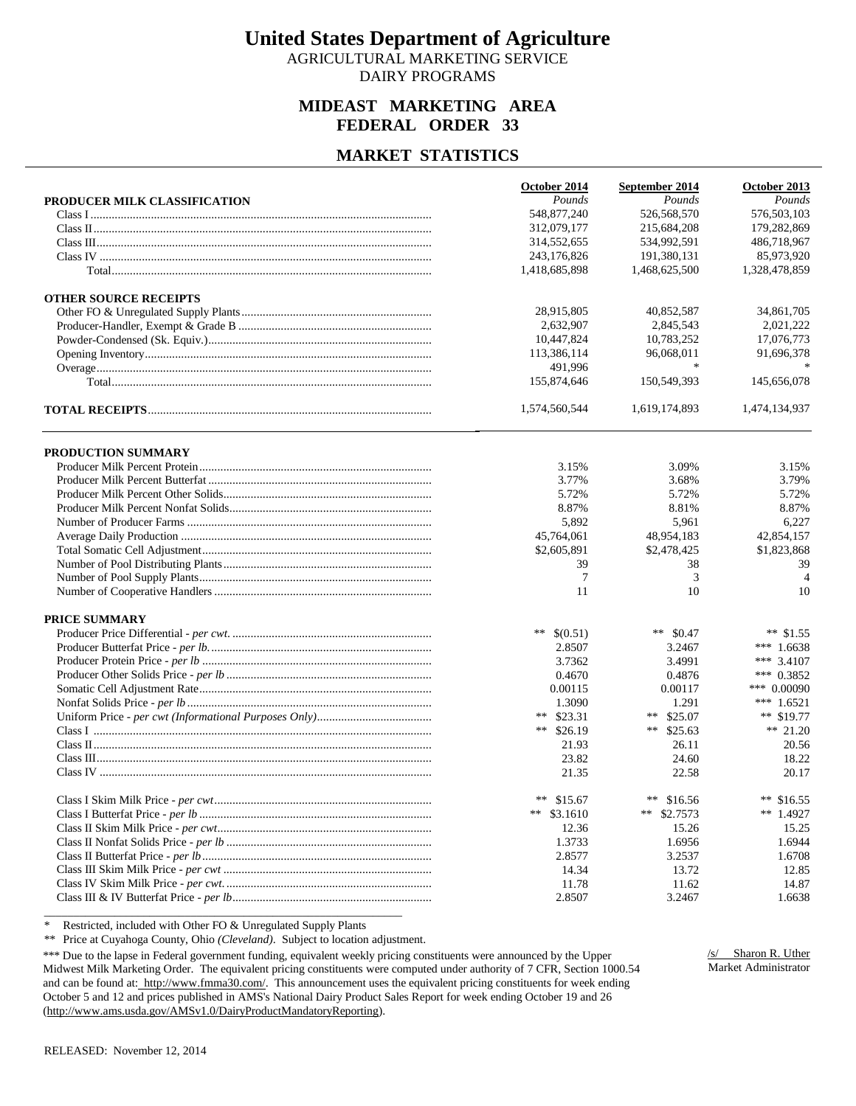AGRICULTURAL MARKETING SERVICE DAIRY PROGRAMS

### **MIDEAST MARKETING AREA FEDERAL ORDER 33**

### **MARKET STATISTICS**

|                              | October 2014     | September 2014 | October 2013   |
|------------------------------|------------------|----------------|----------------|
| PRODUCER MILK CLASSIFICATION | Pounds           | Pounds         | Pounds         |
|                              | 548,877,240      | 526,568,570    | 576,503,103    |
|                              | 312,079,177      | 215,684,208    | 179,282,869    |
|                              | 314,552,655      | 534,992,591    | 486,718,967    |
|                              | 243,176,826      | 191,380,131    | 85,973,920     |
|                              | 1,418,685,898    | 1,468,625,500  | 1,328,478,859  |
| <b>OTHER SOURCE RECEIPTS</b> |                  |                |                |
|                              | 28,915,805       | 40,852,587     | 34,861,705     |
|                              | 2,632,907        | 2.845.543      | 2,021,222      |
|                              | 10,447,824       | 10,783,252     | 17,076,773     |
|                              | 113,386,114      | 96,068,011     | 91,696,378     |
|                              | 491.996          | *              |                |
|                              | 155,874,646      | 150,549,393    | 145,656,078    |
|                              | 1,574,560,544    | 1,619,174,893  | 1,474,134,937  |
| <b>PRODUCTION SUMMARY</b>    |                  |                |                |
|                              | 3.15%            | 3.09%          | 3.15%          |
|                              | 3.77%            | 3.68%          | 3.79%          |
|                              | 5.72%            | 5.72%          | 5.72%          |
|                              | 8.87%            | 8.81%          | 8.87%          |
|                              | 5,892            | 5,961          | 6,227          |
|                              | 45,764,061       | 48,954,183     | 42,854,157     |
|                              | \$2,605,891      | \$2,478,425    | \$1,823,868    |
|                              | 39               | 38             | 39             |
|                              | 7                | 3              | $\overline{4}$ |
|                              | 11               | 10             | 10             |
| <b>PRICE SUMMARY</b>         |                  |                |                |
|                              | **<br>\$(0.51)   | ** $$0.47$     | ** $$1.55$     |
|                              | 2.8507           | 3.2467         | *** $1.6638$   |
|                              | 3.7362           | 3.4991         | *** 3.4107     |
|                              | 0.4670           | 0.4876         | *** $0.3852$   |
|                              | 0.00115          | 0.00117        | *** 0.00090    |
|                              | 1.3090           | 1.291          | *** $1.6521$   |
|                              | $***$<br>\$23.31 | ** $$25.07$    | ** $$19.77$    |
|                              | **<br>\$26.19    | ** $$25.63$    | ** 21.20       |
|                              | 21.93            | 26.11          | 20.56          |
|                              | 23.82            | 24.60          | 18.22          |
|                              | 21.35            | 22.58          | 20.17          |
|                              | ** $$15.67$      | ** $$16.56$    | ** $$16.55$    |
|                              | **<br>\$3.1610   | **<br>\$2.7573 | ** 1.4927      |
|                              | 12.36            | 15.26          | 15.25          |
|                              | 1.3733           | 1.6956         | 1.6944         |
|                              | 2.8577           | 3.2537         | 1.6708         |
|                              | 14.34            | 13.72          | 12.85          |
|                              | 11.78            | 11.62          | 14.87          |
|                              | 2.8507           | 3.2467         | 1.6638         |

\* Restricted, included with Other FO & Unregulated Supply Plants

\*\* Price at Cuyahoga County, Ohio *(Cleveland)*. Subject to location adjustment.

\*\*\* Due to the lapse in Federal government funding, equivalent weekly pricing constituents were announced by the Upper Midwest Milk Marketing Order. The equivalent pricing constituents were computed under authority of 7 CFR, Section 1000.54 and can be found at: http://www.fmma30.com/. This announcement uses the equivalent pricing constituents for week ending October 5 and 12 and prices published in AMS's National Dairy Product Sales Report for week ending October 19 and 26 (http://www.ams.usda.gov/AMSv1.0/DairyProductMandatoryReporting).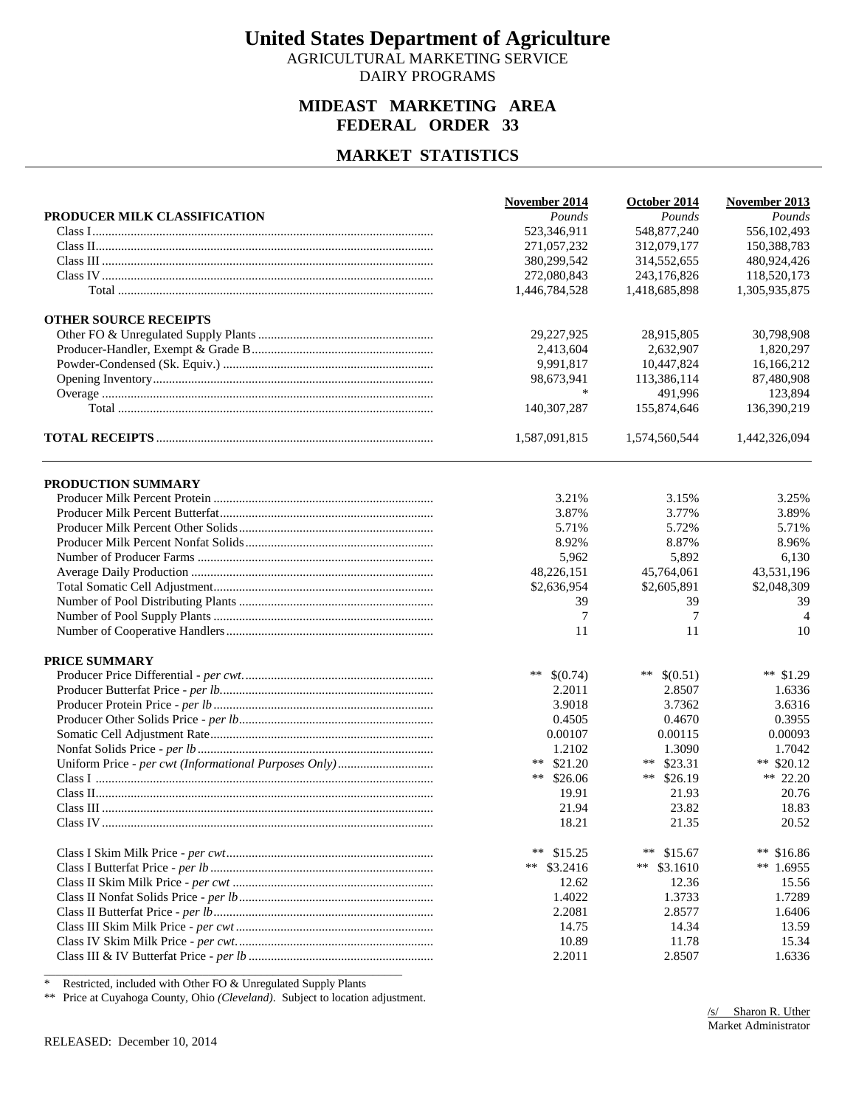AGRICULTURAL MARKETING SERVICE DAIRY PROGRAMS

### **MIDEAST MARKETING AREA FEDERAL ORDER 33**

### **MARKET STATISTICS**

|                              | November 2014     | October 2014  | November 2013  |
|------------------------------|-------------------|---------------|----------------|
| PRODUCER MILK CLASSIFICATION | Pounds            | Pounds        | Pounds         |
|                              | 523,346,911       | 548,877,240   | 556,102,493    |
|                              | 271,057,232       | 312,079,177   | 150,388,783    |
|                              | 380,299,542       | 314,552,655   | 480,924,426    |
|                              | 272,080,843       | 243,176,826   | 118,520,173    |
|                              | 1,446,784,528     | 1,418,685,898 | 1,305,935,875  |
| <b>OTHER SOURCE RECEIPTS</b> |                   |               |                |
|                              | 29,227,925        | 28,915,805    | 30,798,908     |
|                              | 2,413,604         | 2,632,907     | 1,820,297      |
|                              | 9,991,817         | 10,447,824    | 16,166,212     |
|                              | 98,673,941        | 113,386,114   | 87,480,908     |
|                              | *                 | 491,996       | 123,894        |
|                              | 140, 307, 287     | 155,874,646   | 136,390,219    |
|                              | 1,587,091,815     | 1,574,560,544 | 1,442,326,094  |
| PRODUCTION SUMMARY           |                   |               |                |
|                              | 3.21%             | 3.15%         | 3.25%          |
|                              | 3.87%             | 3.77%         | 3.89%          |
|                              | 5.71%             | 5.72%         | 5.71%          |
|                              | 8.92%             | 8.87%         | 8.96%          |
|                              | 5,962             | 5,892         | 6,130          |
|                              | 48,226,151        | 45,764,061    | 43,531,196     |
|                              | \$2,636,954       | \$2,605,891   | \$2,048,309    |
|                              | 39                | 39            | 39             |
|                              | $\tau$            | 7             | $\overline{4}$ |
|                              | 11                | 11            | 10             |
| PRICE SUMMARY                |                   |               |                |
|                              | $***$<br>\$(0.74) | ** $$(0.51)$  | ** $$1.29$     |
|                              | 2.2011            | 2.8507        | 1.6336         |
|                              | 3.9018            | 3.7362        | 3.6316         |
|                              | 0.4505            | 0.4670        | 0.3955         |
|                              | 0.00107           | 0.00115       | 0.00093        |
|                              | 1.2102            | 1.3090        | 1.7042         |
|                              | ** $$21.20$       | **<br>\$23.31 | ** $$20.12$    |
|                              | ** $$26.06$       | **<br>\$26.19 | ** 22.20       |
|                              | 19.91             | 21.93         | 20.76          |
|                              | 21.94             | 23.82         | 18.83          |
|                              | 18.21             | 21.35         | 20.52          |
|                              | **<br>\$15.25     | **<br>\$15.67 | **<br>\$16.86  |
|                              | \$3.2416<br>**    | ** $$3.1610$  | ** $1.6955$    |
|                              | 12.62             | 12.36         | 15.56          |
|                              | 1.4022            | 1.3733        | 1.7289         |
|                              | 2.2081            | 2.8577        | 1.6406         |
|                              | 14.75             | 14.34         | 13.59          |
|                              | 10.89             | 11.78         | 15.34          |
|                              | 2.2011            | 2.8507        | 1.6336         |

\* Restricted, included with Other FO & Unregulated Supply Plants

\*\* Price at Cuyahoga County, Ohio *(Cleveland)*. Subject to location adjustment.